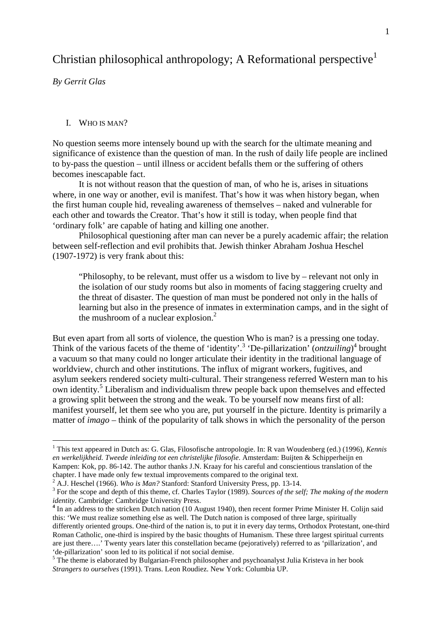# Christian philosophical anthropology; A Reformational perspective<sup>1</sup>

*By Gerrit Glas* 

 $\overline{a}$ 

## I. WHO IS MAN?

No question seems more intensely bound up with the search for the ultimate meaning and significance of existence than the question of man. In the rush of daily life people are inclined to by-pass the question – until illness or accident befalls them or the suffering of others becomes inescapable fact.

 It is not without reason that the question of man, of who he is, arises in situations where, in one way or another, evil is manifest. That's how it was when history began, when the first human couple hid, revealing awareness of themselves – naked and vulnerable for each other and towards the Creator. That's how it still is today, when people find that 'ordinary folk' are capable of hating and killing one another.

 Philosophical questioning after man can never be a purely academic affair; the relation between self-reflection and evil prohibits that. Jewish thinker Abraham Joshua Heschel (1907-1972) is very frank about this:

"Philosophy, to be relevant, must offer us a wisdom to live by – relevant not only in the isolation of our study rooms but also in moments of facing staggering cruelty and the threat of disaster. The question of man must be pondered not only in the halls of learning but also in the presence of inmates in extermination camps, and in the sight of the mushroom of a nuclear explosion. $<sup>2</sup>$ </sup>

But even apart from all sorts of violence, the question Who is man? is a pressing one today. Think of the various facets of the theme of 'identity'.<sup>3</sup> 'De-pillarization' (*ontzuiling*)<sup>4</sup> brought a vacuum so that many could no longer articulate their identity in the traditional language of worldview, church and other institutions. The influx of migrant workers, fugitives, and asylum seekers rendered society multi-cultural. Their strangeness referred Western man to his own identity.<sup>5</sup> Liberalism and individualism threw people back upon themselves and effected a growing split between the strong and the weak. To be yourself now means first of all: manifest yourself, let them see who you are, put yourself in the picture. Identity is primarily a matter of *imago* – think of the popularity of talk shows in which the personality of the person

<sup>&</sup>lt;sup>1</sup> This text appeared in Dutch as: G. Glas, Filosofische antropologie. In: R van Woudenberg (ed.) (1996), *Kennis en werkelijkheid. Tweede inleiding tot een christelijke filosofie*. Amsterdam: Buijten & Schipperheijn en Kampen: Kok, pp. 86-142. The author thanks J.N. Kraay for his careful and conscientious translation of the chapter. I have made only few textual improvements compared to the original text.

<sup>&</sup>lt;sup>2</sup> A.J. Heschel (1966). *Who is Man?* Stanford: Stanford University Press, pp. 13-14.

<sup>3</sup> For the scope and depth of this theme, cf. Charles Taylor (1989). *Sources of the self; The making of the modern identity.* Cambridge: Cambridge University Press.

<sup>&</sup>lt;sup>4</sup> In an address to the stricken Dutch nation (10 August 1940), then recent former Prime Minister H. Colijn said this: 'We must realize something else as well. The Dutch nation is composed of three large, spiritually differently oriented groups. One-third of the nation is, to put it in every day terms, Orthodox Protestant, one-third Roman Catholic, one-third is inspired by the basic thoughts of Humanism. These three largest spiritual currents are just there….' Twenty years later this constellation became (pejoratively) referred to as 'pillarization', and 'de-pillarization' soon led to its political if not social demise.

<sup>&</sup>lt;sup>5</sup> The theme is elaborated by Bulgarian-French philosopher and psychoanalyst Julia Kristeva in her book *Strangers to ourselves* (1991). Trans. Leon Roudiez. New York: Columbia UP.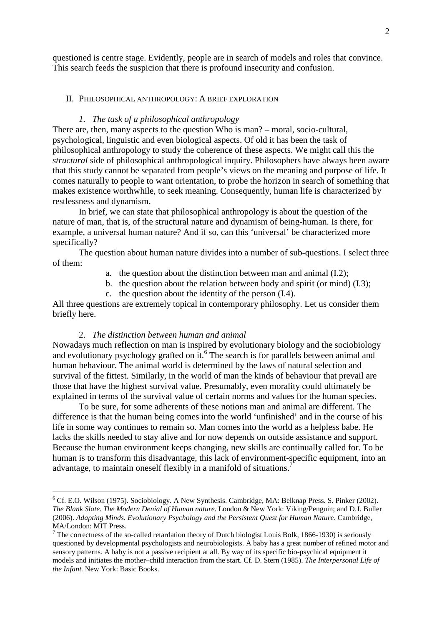questioned is centre stage. Evidently, people are in search of models and roles that convince. This search feeds the suspicion that there is profound insecurity and confusion.

## II. PHILOSOPHICAL ANTHROPOLOGY: A BRIEF EXPLORATION

## *1. The task of a philosophical anthropology*

There are, then, many aspects to the question Who is man? – moral, socio-cultural, psychological, linguistic and even biological aspects. Of old it has been the task of philosophical anthropology to study the coherence of these aspects. We might call this the *structural* side of philosophical anthropological inquiry. Philosophers have always been aware that this study cannot be separated from people's views on the meaning and purpose of life. It comes naturally to people to want orientation, to probe the horizon in search of something that makes existence worthwhile, to seek meaning. Consequently, human life is characterized by restlessness and dynamism.

 In brief, we can state that philosophical anthropology is about the question of the nature of man, that is, of the structural nature and dynamism of being-human. Is there, for example, a universal human nature? And if so, can this 'universal' be characterized more specifically?

 The question about human nature divides into a number of sub-questions. I select three of them:

- a. the question about the distinction between man and animal (I.2);
- b. the question about the relation between body and spirit (or mind) (I.3);
- c. the question about the identity of the person (I.4).

All three questions are extremely topical in contemporary philosophy. Let us consider them briefly here.

#### 2. *The distinction between human and animal*

 $\overline{a}$ 

Nowadays much reflection on man is inspired by evolutionary biology and the sociobiology and evolutionary psychology grafted on it.<sup>6</sup> The search is for parallels between animal and human behaviour. The animal world is determined by the laws of natural selection and survival of the fittest. Similarly, in the world of man the kinds of behaviour that prevail are those that have the highest survival value. Presumably, even morality could ultimately be explained in terms of the survival value of certain norms and values for the human species.

 To be sure, for some adherents of these notions man and animal are different. The difference is that the human being comes into the world 'unfinished' and in the course of his life in some way continues to remain so. Man comes into the world as a helpless babe. He lacks the skills needed to stay alive and for now depends on outside assistance and support. Because the human environment keeps changing, new skills are continually called for. To be human is to transform this disadvantage, this lack of environment-specific equipment, into an advantage, to maintain oneself flexibly in a manifold of situations.<sup>7</sup>

<sup>&</sup>lt;sup>6</sup> Cf. E.O. Wilson (1975). Sociobiology. A New Synthesis. Cambridge, MA: Belknap Press. S. Pinker (2002). *The Blank Slate. The Modern Denial of Human nature.* London & New York: Viking/Penguin; and D.J. Buller (2006). *Adapting Minds. Evolutionary Psychology and the Persistent Quest for Human Nature*. Cambridge, MA/London: MIT Press.

 $7$  The correctness of the so-called retardation theory of Dutch biologist Louis Bolk, 1866-1930) is seriously questioned by developmental psychologists and neurobiologists. A baby has a great number of refined motor and sensory patterns. A baby is not a passive recipient at all. By way of its specific bio-psychical equipment it models and initiates the mother–child interaction from the start. Cf. D. Stern (1985). *The Interpersonal Life of the Infant.* New York: Basic Books.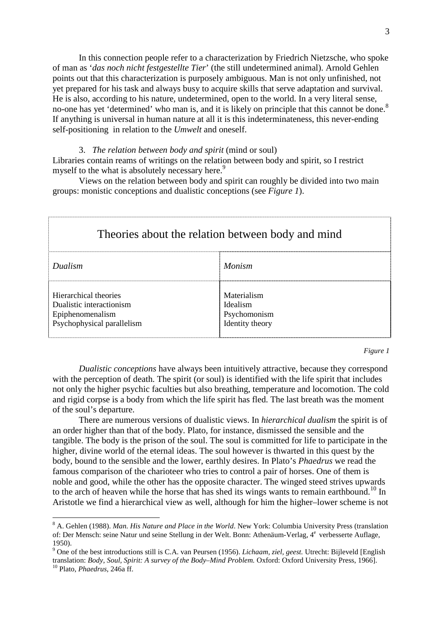In this connection people refer to a characterization by Friedrich Nietzsche, who spoke of man as '*das noch nicht festgestellte Tier*' (the still undetermined animal). Arnold Gehlen points out that this characterization is purposely ambiguous. Man is not only unfinished, not yet prepared for his task and always busy to acquire skills that serve adaptation and survival. He is also, according to his nature, undetermined, open to the world. In a very literal sense, no-one has yet 'determined' who man is, and it is likely on principle that this cannot be done.<sup>8</sup> If anything is universal in human nature at all it is this indeterminateness, this never-ending self-positioning in relation to the *Umwelt* and oneself.

#### 3. *The relation between body and spirit* (mind or soul)

Libraries contain reams of writings on the relation between body and spirit, so I restrict myself to the what is absolutely necessary here.<sup>9</sup>

 Views on the relation between body and spirit can roughly be divided into two main groups: monistic conceptions and dualistic conceptions (see *Figure 1*).

| Theories about the relation between body and mind                                                   |                                                                   |
|-----------------------------------------------------------------------------------------------------|-------------------------------------------------------------------|
| Dualism                                                                                             | Monism                                                            |
| Hierarchical theories<br>Dualistic interactionism<br>Epiphenomenalism<br>Psychophysical parallelism | Materialism<br><b>Idealism</b><br>Psychomonism<br>Identity theory |

*Figure 1* 

*Dualistic conceptions* have always been intuitively attractive, because they correspond with the perception of death. The spirit (or soul) is identified with the life spirit that includes not only the higher psychic faculties but also breathing, temperature and locomotion. The cold and rigid corpse is a body from which the life spirit has fled. The last breath was the moment of the soul's departure.

 There are numerous versions of dualistic views. In *hierarchical dualism* the spirit is of an order higher than that of the body. Plato, for instance, dismissed the sensible and the tangible. The body is the prison of the soul. The soul is committed for life to participate in the higher, divine world of the eternal ideas. The soul however is thwarted in this quest by the body, bound to the sensible and the lower, earthly desires. In Plato's *Phaedrus* we read the famous comparison of the charioteer who tries to control a pair of horses. One of them is noble and good, while the other has the opposite character. The winged steed strives upwards to the arch of heaven while the horse that has shed its wings wants to remain earthbound.<sup>10</sup> In Aristotle we find a hierarchical view as well, although for him the higher–lower scheme is not

<sup>&</sup>lt;sup>8</sup> A. Gehlen (1988). *Man. His Nature and Place in the World*. New York: Columbia University Press (translation of: Der Mensch: seine Natur und seine Stellung in der Welt. Bonn: Athenäum-Verlag, 4<sup>e</sup> verbesserte Auflage, 1950).

<sup>9</sup> One of the best introductions still is C.A. van Peursen (1956). *Lichaam, ziel, geest.* Utrecht: Bijleveld [English translation: *Body, Soul, Spirit: A survey of the Body–Mind Problem.* Oxford: Oxford University Press, 1966].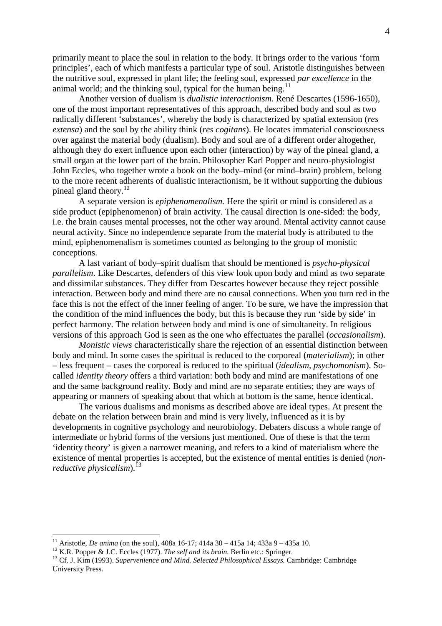primarily meant to place the soul in relation to the body. It brings order to the various 'form principles', each of which manifests a particular type of soul. Aristotle distinguishes between the nutritive soul, expressed in plant life; the feeling soul, expressed *par excellence* in the animal world; and the thinking soul, typical for the human being.<sup>11</sup>

 Another version of dualism is *dualistic interactionism*. René Descartes (1596-1650), one of the most important representatives of this approach, described body and soul as two radically different 'substances', whereby the body is characterized by spatial extension (*res extensa*) and the soul by the ability think (*res cogitans*). He locates immaterial consciousness over against the material body (dualism). Body and soul are of a different order altogether, although they do exert influence upon each other (interaction) by way of the pineal gland, a small organ at the lower part of the brain. Philosopher Karl Popper and neuro-physiologist John Eccles, who together wrote a book on the body–mind (or mind–brain) problem, belong to the more recent adherents of dualistic interactionism, be it without supporting the dubious pineal gland theory.<sup>12</sup>

 A separate version is *epiphenomenalism.* Here the spirit or mind is considered as a side product (epiphenomenon) of brain activity. The causal direction is one-sided: the body, i.e. the brain causes mental processes, not the other way around. Mental activity cannot cause neural activity. Since no independence separate from the material body is attributed to the mind, epiphenomenalism is sometimes counted as belonging to the group of monistic conceptions.

 A last variant of body–spirit dualism that should be mentioned is *psycho-physical parallelism*. Like Descartes, defenders of this view look upon body and mind as two separate and dissimilar substances. They differ from Descartes however because they reject possible interaction. Between body and mind there are no causal connections. When you turn red in the face this is not the effect of the inner feeling of anger. To be sure, we have the impression that the condition of the mind influences the body, but this is because they run 'side by side' in perfect harmony. The relation between body and mind is one of simultaneity. In religious versions of this approach God is seen as the one who effectuates the parallel (*occasionalism*).

*Monistic views* characteristically share the rejection of an essential distinction between body and mind. In some cases the spiritual is reduced to the corporeal (*materialism*); in other – less frequent – cases the corporeal is reduced to the spiritual (*idealism, psychomonism*). Socalled *identity theory* offers a third variation: both body and mind are manifestations of one and the same background reality. Body and mind are no separate entities; they are ways of appearing or manners of speaking about that which at bottom is the same, hence identical.

 The various dualisms and monisms as described above are ideal types. At present the debate on the relation between brain and mind is very lively, influenced as it is by developments in cognitive psychology and neurobiology. Debaters discuss a whole range of intermediate or hybrid forms of the versions just mentioned. One of these is that the term 'identity theory' is given a narrower meaning, and refers to a kind of materialism where the existence of mental properties is accepted, but the existence of mental entities is denied (*nonreductive physicalism*).<sup>13</sup>

<sup>11</sup> Aristotle, *De anima* (on the soul), 408a 16-17; 414a 30 – 415a 14; 433a 9 – 435a 10.

<sup>12</sup> K.R. Popper & J.C. Eccles (1977). *The self and its brain.* Berlin etc.: Springer.

<sup>&</sup>lt;sup>13</sup> Cf. J. Kim (1993). *Supervenience and Mind. Selected Philosophical Essays.* Cambridge: Cambridge University Press.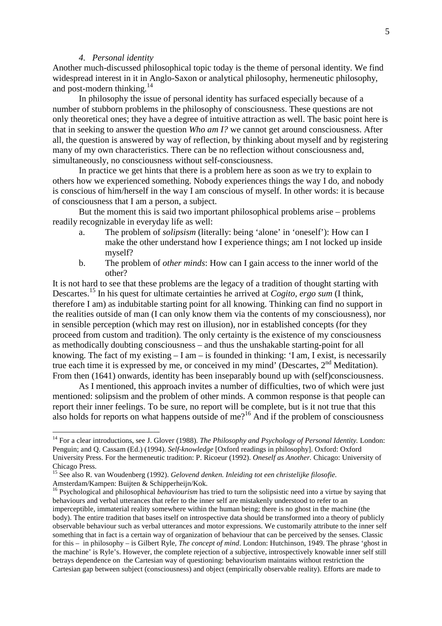#### *4. Personal identity*

 $\overline{a}$ 

Another much-discussed philosophical topic today is the theme of personal identity. We find widespread interest in it in Anglo-Saxon or analytical philosophy, hermeneutic philosophy, and post-modern thinking.<sup>14</sup>

 In philosophy the issue of personal identity has surfaced especially because of a number of stubborn problems in the philosophy of consciousness. These questions are not only theoretical ones; they have a degree of intuitive attraction as well. The basic point here is that in seeking to answer the question *Who am I?* we cannot get around consciousness. After all, the question is answered by way of reflection, by thinking about myself and by registering many of my own characteristics. There can be no reflection without consciousness and, simultaneously, no consciousness without self-consciousness.

 In practice we get hints that there is a problem here as soon as we try to explain to others how we experienced something. Nobody experiences things the way I do, and nobody is conscious of him/herself in the way I am conscious of myself. In other words: it is because of consciousness that I am a person, a subject.

 But the moment this is said two important philosophical problems arise – problems readily recognizable in everyday life as well:

- a. The problem of *solipsism* (literally: being 'alone' in 'oneself'): How can I make the other understand how I experience things; am I not locked up inside myself?
- b. The problem of *other minds*: How can I gain access to the inner world of the other?

It is not hard to see that these problems are the legacy of a tradition of thought starting with Descartes.<sup>15</sup> In his quest for ultimate certainties he arrived at *Cogito, ergo sum* (I think, therefore I am) as indubitable starting point for all knowing. Thinking can find no support in the realities outside of man (I can only know them via the contents of my consciousness), nor in sensible perception (which may rest on illusion), nor in established concepts (for they proceed from custom and tradition). The only certainty is the existence of my consciousness as methodically doubting consciousness – and thus the unshakable starting-point for all knowing. The fact of my existing  $- I$  am  $-$  is founded in thinking: 'I am, I exist, is necessarily true each time it is expressed by me, or conceived in my mind' (Descartes,  $2<sup>nd</sup>$  Meditation). From then (1641) onwards, identity has been inseparably bound up with (self)consciousness.

As I mentioned, this approach invites a number of difficulties, two of which were just mentioned: solipsism and the problem of other minds. A common response is that people can report their inner feelings. To be sure, no report will be complete, but is it not true that this also holds for reports on what happens outside of me?<sup>16</sup> And if the problem of consciousness

<sup>&</sup>lt;sup>14</sup> For a clear introductions, see J. Glover (1988). *The Philosophy and Psychology of Personal Identity*. London: Penguin; and Q. Cassam (Ed.) (1994). *Self-knowledge* [Oxford readings in philosophy]. Oxford: Oxford University Press. For the hermeneutic tradition: P. Ricoeur (1992). *Oneself as Another.* Chicago: University of Chicago Press.

<sup>15</sup> See also R. van Woudenberg (1992). *Gelovend denken. Inleiding tot een christelijke filosofie.* Amsterdam/Kampen: Buijten & Schipperheijn/Kok.

<sup>&</sup>lt;sup>16</sup> Psychological and philosophical *behaviourism* has tried to turn the solipsistic need into a virtue by saying that behaviours and verbal utterances that refer to the inner self are mistakenly understood to refer to an

imperceptible, immaterial reality somewhere within the human being; there is no ghost in the machine (the body). The entire tradition that bases itself on introspective data should be transformed into a theory of publicly observable behaviour such as verbal utterances and motor expressions. We customarily attribute to the inner self something that in fact is a certain way of organization of behaviour that can be perceived by the senses. Classic for this – in philosophy – is Gilbert Ryle, *The concept of mind*. London: Hutchinson, 1949. The phrase 'ghost in the machine' is Ryle's. However, the complete rejection of a subjective, introspectively knowable inner self still betrays dependence on the Cartesian way of questioning: behaviourism maintains without restriction the Cartesian gap between subject (consciousness) and object (empirically observable reality). Efforts are made to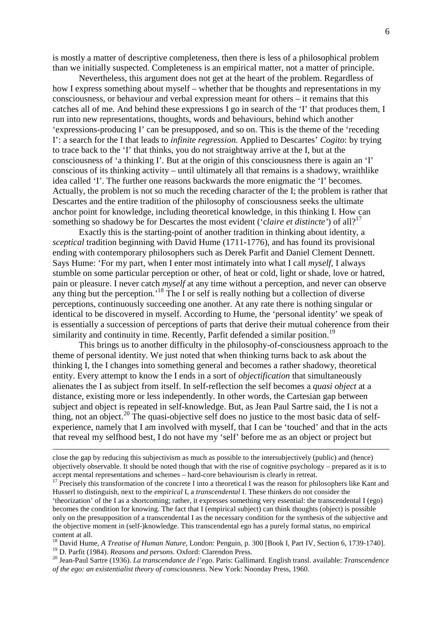is mostly a matter of descriptive completeness, then there is less of a philosophical problem than we initially suspected. Completeness is an empirical matter, not a matter of principle.

 Nevertheless, this argument does not get at the heart of the problem. Regardless of how I express something about myself – whether that be thoughts and representations in my consciousness, or behaviour and verbal expression meant for others – it remains that this catches all of me. And behind these expressions I go in search of the 'I' that produces them, I run into new representations, thoughts, words and behaviours, behind which another 'expressions-producing I' can be presupposed, and so on. This is the theme of the 'receding I': a search for the I that leads to *infinite regression*. Applied to Descartes' *Cogito*: by trying to trace back to the 'I' that thinks, you do not straightway arrive at the I, but at the consciousness of 'a thinking I'. But at the origin of this consciousness there is again an 'I' conscious of its thinking activity – until ultimately all that remains is a shadowy, wraithlike idea called 'I'. The further one reasons backwards the more enigmatic the 'I' becomes. Actually, the problem is not so much the receding character of the I; the problem is rather that Descartes and the entire tradition of the philosophy of consciousness seeks the ultimate anchor point for knowledge, including theoretical knowledge, in this thinking I. How can something so shadowy be for Descartes the most evident ('c*laire et distincte'*) of all?<sup>17</sup>

 Exactly this is the starting-point of another tradition in thinking about identity, a *sceptical* tradition beginning with David Hume (1711-1776), and has found its provisional ending with contemporary philosophers such as Derek Parfit and Daniel Clement Dennett. Says Hume: 'For my part, when I enter most intimately into what I call *myself*, I always stumble on some particular perception or other, of heat or cold, light or shade, love or hatred, pain or pleasure. I never catch *myself* at any time without a perception, and never can observe any thing but the perception.<sup>'18</sup> The I or self is really nothing but a collection of diverse perceptions, continuously succeeding one another. At any rate there is nothing singular or identical to be discovered in myself. According to Hume, the 'personal identity' we speak of is essentially a succession of perceptions of parts that derive their mutual coherence from their similarity and continuity in time. Recently, Parfit defended a similar position.<sup>19</sup>

 This brings us to another difficulty in the philosophy-of-consciousness approach to the theme of personal identity. We just noted that when thinking turns back to ask about the thinking I, the I changes into something general and becomes a rather shadowy, theoretical entity. Every attempt to know the I ends in a sort of *objectification* that simultaneously alienates the I as subject from itself. In self-reflection the self becomes a *quasi object* at a distance, existing more or less independently. In other words, the Cartesian gap between subject and object is repeated in self-knowledge. But, as Jean Paul Sartre said, the I is not a thing, not an object.<sup>20</sup> The quasi-objective self does no justice to the most basic data of selfexperience, namely that I am involved with myself, that I can be 'touched' and that in the acts that reveal my selfhood best, I do not have my 'self' before me as an object or project but

<u>.</u>

close the gap by reducing this subjectivism as much as possible to the intersubjectively (public) and (hence) objectively observable. It should be noted though that with the rise of cognitive psychology – prepared as it is to accept mental representations and schemes – hard-core behaviourism is clearly in retreat.

 $17$  Precisely this transformation of the concrete I into a theoretical I was the reason for philosophers like Kant and Husserl to distinguish, next to the *empirical* I, a *transcendental* I. These thinkers do not consider the 'theorization' of the I as a shortcoming; rather, it expresses something very essential: the transcendental I (ego) becomes the condition for knowing. The fact that I (empirical subject) can think thoughts (object) is possible only on the presupposition of a transcendental I as the necessary condition for the synthesis of the subjective and the objective moment in (self-)knowledge. This transcendental ego has a purely formal status, no empirical content at all.

<sup>18</sup> David Hume, *A Treatise of Human Nature*, London: Penguin, p. 300 [Book I, Part IV, Section 6, 1739-1740].

<sup>19</sup> D. Parfit (1984). *Reasons and persons*. Oxford: Clarendon Press.

<sup>20</sup> Jean-Paul Sartre (1936). *La transcendance de l'ego.* Paris: Gallimard. English transl. available: *Transcendence of the ego: an existentialist theory of consciousness.* New York: Noonday Press, 1960.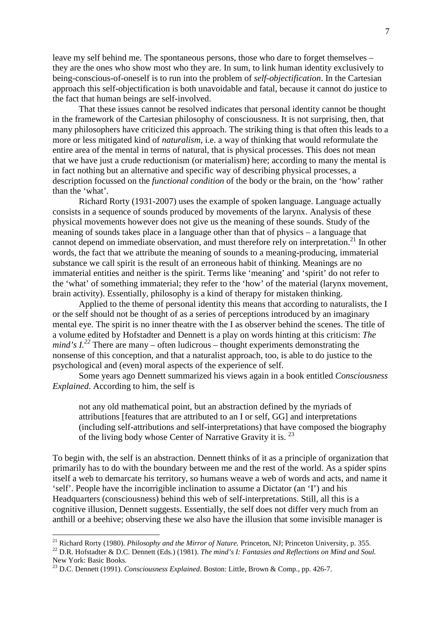leave my self behind me. The spontaneous persons, those who dare to forget themselves – they are the ones who show most who they are. In sum, to link human identity exclusively to being-conscious-of-oneself is to run into the problem of *self-objectification*. In the Cartesian approach this self-objectification is both unavoidable and fatal, because it cannot do justice to the fact that human beings are self-involved.

 That these issues cannot be resolved indicates that personal identity cannot be thought in the framework of the Cartesian philosophy of consciousness. It is not surprising, then, that many philosophers have criticized this approach. The striking thing is that often this leads to a more or less mitigated kind of *naturalism*, i.e. a way of thinking that would reformulate the entire area of the mental in terms of natural, that is physical processes. This does not mean that we have just a crude reductionism (or materialism) here; according to many the mental is in fact nothing but an alternative and specific way of describing physical processes, a description focussed on the *functional condition* of the body or the brain, on the 'how' rather than the 'what'.

 Richard Rorty (1931-2007) uses the example of spoken language. Language actually consists in a sequence of sounds produced by movements of the larynx. Analysis of these physical movements however does not give us the meaning of these sounds. Study of the meaning of sounds takes place in a language other than that of physics – a language that cannot depend on immediate observation, and must therefore rely on interpretation.<sup>21</sup> In other words, the fact that we attribute the meaning of sounds to a meaning-producing, immaterial substance we call spirit is the result of an erroneous habit of thinking. Meanings are no immaterial entities and neither is the spirit. Terms like 'meaning' and 'spirit' do not refer to the 'what' of something immaterial; they refer to the 'how' of the material (larynx movement, brain activity). Essentially, philosophy is a kind of therapy for mistaken thinking.

 Applied to the theme of personal identity this means that according to naturalists, the I or the self should not be thought of as a series of perceptions introduced by an imaginary mental eye. The spirit is no inner theatre with the I as observer behind the scenes. The title of a volume edited by Hofstadter and Dennett is a play on words hinting at this criticism: *The mind's I.*<sup>22</sup> There are many – often ludicrous – thought experiments demonstrating the nonsense of this conception, and that a naturalist approach, too, is able to do justice to the psychological and (even) moral aspects of the experience of self.

 Some years ago Dennett summarized his views again in a book entitled *Consciousness Explained*. According to him, the self is

not any old mathematical point, but an abstraction defined by the myriads of attributions [features that are attributed to an I or self, GG] and interpretations (including self-attributions and self-interpretations) that have composed the biography of the living body whose Center of Narrative Gravity it is.<sup>23</sup>

To begin with, the self is an abstraction. Dennett thinks of it as a principle of organization that primarily has to do with the boundary between me and the rest of the world. As a spider spins itself a web to demarcate his territory, so humans weave a web of words and acts, and name it 'self'. People have the incorrigible inclination to assume a Dictator (an 'I') and his Headquarters (consciousness) behind this web of self-interpretations. Still, all this is a cognitive illusion, Dennett suggests. Essentially, the self does not differ very much from an anthill or a beehive; observing these we also have the illusion that some invisible manager is

<sup>21</sup> Richard Rorty (1980). *Philosophy and the Mirror of Nature.* Princeton, NJ; Princeton University, p. 355.

<sup>22</sup> D.R. Hofstadter & D.C. Dennett (Eds.) (1981). *The mind's I: Fantasies and Reflections on Mind and Soul.* New York: Basic Books.

<sup>23</sup> D.C. Dennett (1991). *Consciousness Explained*. Boston: Little, Brown & Comp., pp. 426-7.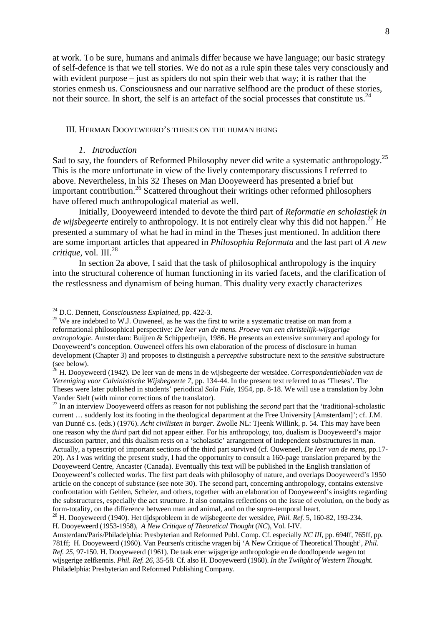at work. To be sure, humans and animals differ because we have language; our basic strategy of self-defence is that we tell stories. We do not as a rule spin these tales very consciously and with evident purpose – just as spiders do not spin their web that way; it is rather that the stories enmesh us. Consciousness and our narrative selfhood are the product of these stories, not their source. In short, the self is an artefact of the social processes that constitute us.<sup>24</sup>

# III. HERMAN DOOYEWEERD'S THESES ON THE HUMAN BEING

#### *1. Introduction*

Sad to say, the founders of Reformed Philosophy never did write a systematic anthropology.<sup>25</sup> This is the more unfortunate in view of the lively contemporary discussions I referred to above. Nevertheless, in his 32 Theses on Man Dooyeweerd has presented a brief but important contribution.<sup>26</sup> Scattered throughout their writings other reformed philosophers have offered much anthropological material as well.

Initially, Dooyeweerd intended to devote the third part of *Reformatie en scholastiek in de wijsbegeerte* entirely to anthropology. It is not entirely clear why this did not happen.<sup>27</sup> He presented a summary of what he had in mind in the Theses just mentioned. In addition there are some important articles that appeared in *Philosophia Reformata* and the last part of *A new critique,* vol*.* III.<sup>28</sup>

 In section 2a above, I said that the task of philosophical anthropology is the inquiry into the structural coherence of human functioning in its varied facets, and the clarification of the restlessness and dynamism of being human. This duality very exactly characterizes

l

<sup>24</sup> D.C. Dennett, *Consciousness Explained*, pp. 422-3.

 $25$  We are indebted to W.J. Ouweneel, as he was the first to write a systematic treatise on man from a reformational philosophical perspective: *De leer van de mens. Proeve van een christelijk-wijsgerige antropologie*. Amsterdam: Buijten & Schipperheijn, 1986. He presents an extensive summary and apology for Dooyeweerd's conception. Ouweneel offers his own elaboration of the process of disclosure in human development (Chapter 3) and proposes to distinguish a *perceptive* substructure next to the *sensitive* substructure (see below).

<sup>26</sup> H. Dooyeweerd (1942). De leer van de mens in de wijsbegeerte der wetsidee. *Correspondentiebladen van de Vereniging voor Calvinistische Wijsbegeerte 7,* pp. 134-44. In the present text referred to as 'Theses'. The Theses were later published in students' periodical *Sola Fide*, 1954, pp. 8-18. We will use a translation by John Vander Stelt (with minor corrections of the translator).

<sup>&</sup>lt;sup>27</sup> In an interview Dooyeweerd offers as reason for not publishing the *second* part that the 'traditional-scholastic current … suddenly lost its footing in the theological department at the Free University [Amsterdam]'; cf. J.M. van Dunné c.s. (eds.) (1976). *Acht civilisten in burger.* Zwolle NL: Tjeenk Willink, p. 54. This may have been one reason why the *third* part did not appear either. For his anthropology, too, dualism is Dooyeweerd's major discussion partner, and this dualism rests on a 'scholastic' arrangement of independent substructures in man. Actually, a typescript of important sections of the third part survived (cf. Ouweneel, *De leer van de mens,* pp.17- 20). As I was writing the present study, I had the opportunity to consult a 160-page translation prepared by the Dooyeweerd Centre, Ancaster (Canada). Eventually this text will be published in the English translation of Dooyeweerd's collected works. The first part deals with philosophy of nature, and overlaps Dooyeweerd's 1950 article on the concept of substance (see note 30). The second part, concerning anthropology, contains extensive confrontation with Gehlen, Scheler, and others, together with an elaboration of Dooyeweerd's insights regarding the substructures, especially the act structure. It also contains reflections on the issue of evolution, on the body as form-totality, on the difference between man and animal, and on the supra-temporal heart.

<sup>28</sup> H. Dooyeweerd (1940). Het tijdsprobleem in de wijsbegeerte der wetsidee, *Phil. Ref.* 5, 160-82, 193-234. H. Dooyeweerd (1953-1958), *A New Critique of Theoretical Thought* (*NC*), Vol. I-IV.

Amsterdam/Paris/Philadelphia: Presbyterian and Reformed Publ. Comp. Cf. especially *NC III*, pp. 694ff, 765ff, pp. 781ff; H. Dooyeweerd (1960). Van Peursen's critische vragen bij 'A New Critique of Theoretical Thought', *Phil. Ref. 25*, 97-150. H. Dooyeweerd (1961). De taak ener wijsgerige anthropologie en de doodlopende wegen tot wijsgerige zelfkennis. *Phil. Ref. 26*, 35-58. Cf. also H. Dooyeweerd (1960). *In the Twilight of Western Thought.* Philadelphia: Presbyterian and Reformed Publishing Company.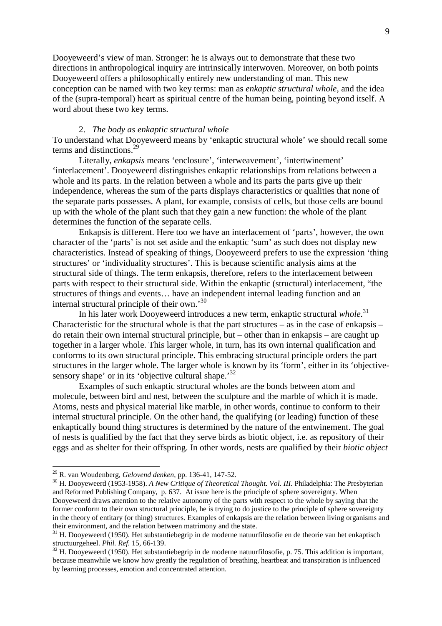Dooyeweerd's view of man. Stronger: he is always out to demonstrate that these two directions in anthropological inquiry are intrinsically interwoven. Moreover, on both points Dooyeweerd offers a philosophically entirely new understanding of man. This new conception can be named with two key terms: man as *enkaptic structural whole*, and the idea of the (supra-temporal) heart as spiritual centre of the human being, pointing beyond itself. A word about these two key terms.

## 2. *The body as enkaptic structural whole*

To understand what Dooyeweerd means by 'enkaptic structural whole' we should recall some terms and distinctions.<sup>29</sup>

 Literally, *enkapsis* means 'enclosure', 'interweavement', 'intertwinement' 'interlacement'. Dooyeweerd distinguishes enkaptic relationships from relations between a whole and its parts. In the relation between a whole and its parts the parts give up their independence, whereas the sum of the parts displays characteristics or qualities that none of the separate parts possesses. A plant, for example, consists of cells, but those cells are bound up with the whole of the plant such that they gain a new function: the whole of the plant determines the function of the separate cells.

 Enkapsis is different. Here too we have an interlacement of 'parts', however, the own character of the 'parts' is not set aside and the enkaptic 'sum' as such does not display new characteristics. Instead of speaking of things, Dooyeweerd prefers to use the expression 'thing structures' or 'individuality structures'. This is because scientific analysis aims at the structural side of things. The term enkapsis, therefore, refers to the interlacement between parts with respect to their structural side. Within the enkaptic (structural) interlacement, "the structures of things and events… have an independent internal leading function and an internal structural principle of their own.<sup>30</sup>

In his later work Dooyeweerd introduces a new term, enkaptic structural *whole*. 31 Characteristic for the structural whole is that the part structures – as in the case of enkapsis – do retain their own internal structural principle, but – other than in enkapsis – are caught up together in a larger whole. This larger whole, in turn, has its own internal qualification and conforms to its own structural principle. This embracing structural principle orders the part structures in the larger whole. The larger whole is known by its 'form', either in its 'objectivesensory shape' or in its 'objective cultural shape.<sup>32</sup>

Examples of such enkaptic structural wholes are the bonds between atom and molecule, between bird and nest, between the sculpture and the marble of which it is made. Atoms, nests and physical material like marble, in other words, continue to conform to their internal structural principle. On the other hand, the qualifying (or leading) function of these enkaptically bound thing structures is determined by the nature of the entwinement. The goal of nests is qualified by the fact that they serve birds as biotic object, i.e. as repository of their eggs and as shelter for their offspring. In other words, nests are qualified by their *biotic object* 

<sup>29</sup> R. van Woudenberg, *Gelovend denken*, pp. 136-41, 147-52.

<sup>&</sup>lt;sup>30</sup> H. Dooyeweerd (1953-1958). A New Critique of Theoretical Thought. Vol. III. Philadelphia: The Presbyterian and Reformed Publishing Company, p. 637. At issue here is the principle of sphere sovereignty. When Dooyeweerd draws attention to the relative autonomy of the parts with respect to the whole by saying that the former conform to their own structural principle, he is trying to do justice to the principle of sphere sovereignty in the theory of entitary (or thing) structures. Examples of enkapsis are the relation between living organisms and their environment, and the relation between matrimony and the state.

<sup>&</sup>lt;sup>31</sup> H. Dooyeweerd (1950). Het substantiebegrip in de moderne natuurfilosofie en de theorie van het enkaptisch structuurgeheel. *Phil. Ref.* 15, 66-139.

 $32$  H. Dooyeweerd (1950). Het substantiebegrip in de moderne natuurfilosofie, p. 75. This addition is important, because meanwhile we know how greatly the regulation of breathing, heartbeat and transpiration is influenced by learning processes, emotion and concentrated attention.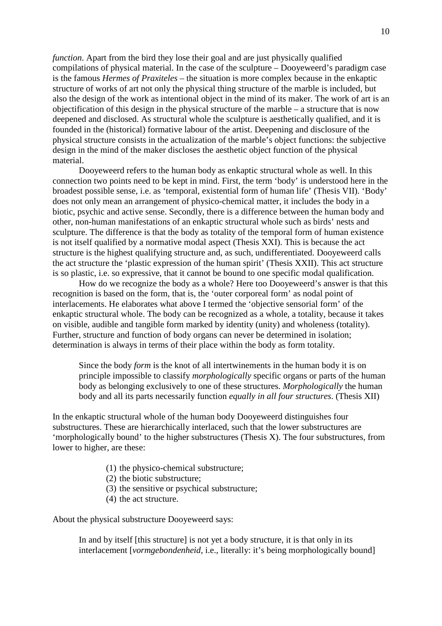*function*. Apart from the bird they lose their goal and are just physically qualified compilations of physical material. In the case of the sculpture – Dooyeweerd's paradigm case is the famous *Hermes of Praxiteles* – the situation is more complex because in the enkaptic structure of works of art not only the physical thing structure of the marble is included, but also the design of the work as intentional object in the mind of its maker. The work of art is an objectification of this design in the physical structure of the marble *–* a structure that is now deepened and disclosed. As structural whole the sculpture is aesthetically qualified, and it is founded in the (historical) formative labour of the artist. Deepening and disclosure of the physical structure consists in the actualization of the marble's object functions: the subjective design in the mind of the maker discloses the aesthetic object function of the physical material.

Dooyeweerd refers to the human body as enkaptic structural whole as well. In this connection two points need to be kept in mind. First, the term 'body' is understood here in the broadest possible sense, i.e. as 'temporal, existential form of human life' (Thesis VII). 'Body' does not only mean an arrangement of physico-chemical matter, it includes the body in a biotic, psychic and active sense. Secondly, there is a difference between the human body and other, non-human manifestations of an enkaptic structural whole such as birds' nests and sculpture. The difference is that the body as totality of the temporal form of human existence is not itself qualified by a normative modal aspect (Thesis XXI). This is because the act structure is the highest qualifying structure and, as such, undifferentiated. Dooyeweerd calls the act structure the 'plastic expression of the human spirit' (Thesis XXII). This act structure is so plastic, i.e. so expressive, that it cannot be bound to one specific modal qualification.

How do we recognize the body as a whole? Here too Dooyeweerd's answer is that this recognition is based on the form, that is, the 'outer corporeal form' as nodal point of interlacements. He elaborates what above I termed the 'objective sensorial form' of the enkaptic structural whole. The body can be recognized as a whole, a totality, because it takes on visible, audible and tangible form marked by identity (unity) and wholeness (totality). Further, structure and function of body organs can never be determined in isolation; determination is always in terms of their place within the body as form totality.

Since the body *form* is the knot of all intertwinements in the human body it is on principle impossible to classify *morphologically* specific organs or parts of the human body as belonging exclusively to one of these structures. *Morphologically* the human body and all its parts necessarily function *equally in all four structures*. (Thesis XII)

In the enkaptic structural whole of the human body Dooyeweerd distinguishes four substructures. These are hierarchically interlaced, such that the lower substructures are 'morphologically bound' to the higher substructures (Thesis X). The four substructures, from lower to higher, are these:

- (1) the physico-chemical substructure;
- (2) the biotic substructure;
- (3) the sensitive or psychical substructure;
- (4) the act structure.

About the physical substructure Dooyeweerd says:

In and by itself [this structure] is not yet a body structure, it is that only in its interlacement [*vormgebondenheid*, i.e., literally: it's being morphologically bound]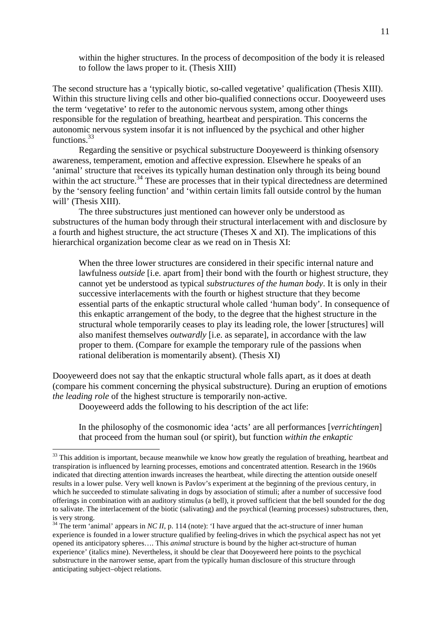within the higher structures. In the process of decomposition of the body it is released to follow the laws proper to it. (Thesis XIII)

The second structure has a 'typically biotic, so-called vegetative' qualification (Thesis XIII). Within this structure living cells and other bio-qualified connections occur. Dooyeweerd uses the term 'vegetative' to refer to the autonomic nervous system, among other things responsible for the regulation of breathing, heartbeat and perspiration. This concerns the autonomic nervous system insofar it is not influenced by the psychical and other higher functions.<sup>33</sup>

 Regarding the sensitive or psychical substructure Dooyeweerd is thinking ofsensory awareness, temperament, emotion and affective expression. Elsewhere he speaks of an 'animal' structure that receives its typically human destination only through its being bound within the act structure.<sup>34</sup> These are processes that in their typical directedness are determined by the 'sensory feeling function' and 'within certain limits fall outside control by the human will' (Thesis XIII).

The three substructures just mentioned can however only be understood as substructures of the human body through their structural interlacement with and disclosure by a fourth and highest structure, the act structure (Theses X and XI). The implications of this hierarchical organization become clear as we read on in Thesis XI:

When the three lower structures are considered in their specific internal nature and lawfulness *outside* [i.e. apart from] their bond with the fourth or highest structure, they cannot yet be understood as typical *substructures of the human body*. It is only in their successive interlacements with the fourth or highest structure that they become essential parts of the enkaptic structural whole called 'human body'. In consequence of this enkaptic arrangement of the body, to the degree that the highest structure in the structural whole temporarily ceases to play its leading role, the lower [structures] will also manifest themselves *outwardly* [i.e. as separate], in accordance with the law proper to them. (Compare for example the temporary rule of the passions when rational deliberation is momentarily absent). (Thesis XI)

Dooyeweerd does not say that the enkaptic structural whole falls apart, as it does at death (compare his comment concerning the physical substructure). During an eruption of emotions *the leading role* of the highest structure is temporarily non-active.

Dooyeweerd adds the following to his description of the act life:

 $\overline{a}$ 

In the philosophy of the cosmonomic idea 'acts' are all performances [*verrichtingen*] that proceed from the human soul (or spirit), but function *within the enkaptic* 

<sup>&</sup>lt;sup>33</sup> This addition is important, because meanwhile we know how greatly the regulation of breathing, heartbeat and transpiration is influenced by learning processes, emotions and concentrated attention. Research in the 1960s indicated that directing attention inwards increases the heartbeat, while directing the attention outside oneself results in a lower pulse. Very well known is Pavlov's experiment at the beginning of the previous century, in which he succeeded to stimulate salivating in dogs by association of stimuli; after a number of successive food offerings in combination with an auditory stimulus (a bell), it proved sufficient that the bell sounded for the dog to salivate. The interlacement of the biotic (salivating) and the psychical (learning processes) substructures, then, is very strong.

 $34$ <sup>34</sup> The term 'animal' appears in *NC II*, p. 114 (note): 'I have argued that the act-structure of inner human experience is founded in a lower structure qualified by feeling-drives in which the psychical aspect has not yet opened its anticipatory spheres…. This *animal* structure is bound by the higher act-structure of human experience' (italics mine). Nevertheless, it should be clear that Dooyeweerd here points to the psychical substructure in the narrower sense, apart from the typically human disclosure of this structure through anticipating subject–object relations.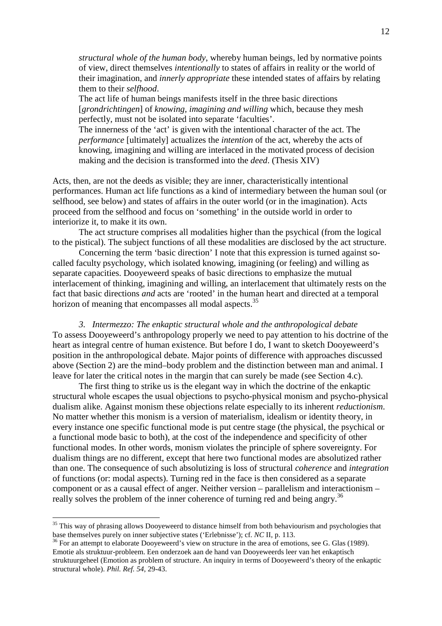*structural whole of the human body*, whereby human beings, led by normative points of view, direct themselves *intentionally* to states of affairs in reality or the world of their imagination, and *innerly appropriate* these intended states of affairs by relating them to their *selfhood*.

The act life of human beings manifests itself in the three basic directions [*grondrichtingen*] of *knowing, imagining and willing* which, because they mesh perfectly, must not be isolated into separate 'faculties'.

The innerness of the 'act' is given with the intentional character of the act. The *performance* [ultimately] actualizes the *intention* of the act, whereby the acts of knowing, imagining and willing are interlaced in the motivated process of decision making and the decision is transformed into the *deed*. (Thesis XIV)

Acts, then, are not the deeds as visible; they are inner, characteristically intentional performances. Human act life functions as a kind of intermediary between the human soul (or selfhood, see below) and states of affairs in the outer world (or in the imagination). Acts proceed from the selfhood and focus on 'something' in the outside world in order to interiorize it, to make it its own.

 The act structure comprises all modalities higher than the psychical (from the logical to the pistical). The subject functions of all these modalities are disclosed by the act structure.

 Concerning the term 'basic direction' I note that this expression is turned against socalled faculty psychology, which isolated knowing, imagining (or feeling) and willing as separate capacities. Dooyeweerd speaks of basic directions to emphasize the mutual interlacement of thinking, imagining and willing, an interlacement that ultimately rests on the fact that basic directions *and* acts are 'rooted' in the human heart and directed at a temporal horizon of meaning that encompasses all modal aspects.<sup>35</sup>

*3. Intermezzo: The enkaptic structural whole and the anthropological debate*  To assess Dooyeweerd's anthropology properly we need to pay attention to his doctrine of the heart as integral centre of human existence. But before I do, I want to sketch Dooyeweerd's position in the anthropological debate. Major points of difference with approaches discussed above (Section 2) are the mind–body problem and the distinction between man and animal. I leave for later the critical notes in the margin that can surely be made (see Section 4.c).

 The first thing to strike us is the elegant way in which the doctrine of the enkaptic structural whole escapes the usual objections to psycho-physical monism and psycho-physical dualism alike. Against monism these objections relate especially to its inherent *reductionism*. No matter whether this monism is a version of materialism, idealism or identity theory, in every instance one specific functional mode is put centre stage (the physical, the psychical or a functional mode basic to both), at the cost of the independence and specificity of other functional modes. In other words, monism violates the principle of sphere sovereignty. For dualism things are no different, except that here two functional modes are absolutized rather than one. The consequence of such absolutizing is loss of structural *coherence* and *integration* of functions (or: modal aspects). Turning red in the face is then considered as a separate component or as a causal effect of anger. Neither version – parallelism and interactionism – really solves the problem of the inner coherence of turning red and being angry.<sup>36</sup>

 $35$  This way of phrasing allows Dooyeweerd to distance himself from both behaviourism and psychologies that base themselves purely on inner subjective states ('Erlebnisse'); cf. *NC* II, p. 113.

<sup>&</sup>lt;sup>36</sup> For an attempt to elaborate Dooyeweerd's view on structure in the area of emotions, see G. Glas (1989). Emotie als struktuur-probleem. Een onderzoek aan de hand van Dooyeweerds leer van het enkaptisch struktuurgeheel (Emotion as problem of structure. An inquiry in terms of Dooyeweerd's theory of the enkaptic structural whole). *Phil. Ref. 54*, 29-43.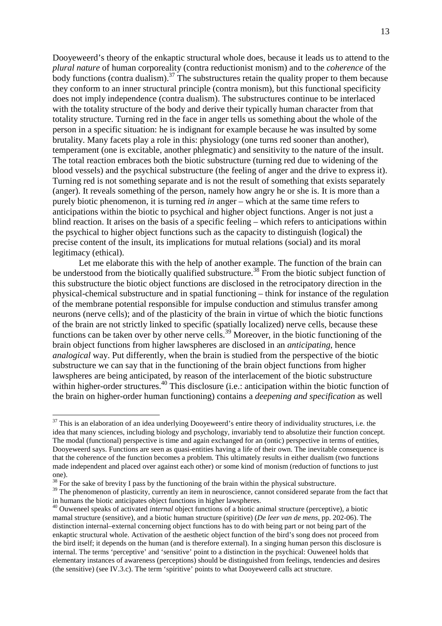Dooyeweerd's theory of the enkaptic structural whole does, because it leads us to attend to the *plural nature* of human corporeality (contra reductionist monism) and to the *coherence* of the body functions (contra dualism).<sup>37</sup> The substructures retain the quality proper to them because they conform to an inner structural principle (contra monism), but this functional specificity does not imply independence (contra dualism). The substructures continue to be interlaced with the totality structure of the body and derive their typically human character from that totality structure. Turning red in the face in anger tells us something about the whole of the person in a specific situation: he is indignant for example because he was insulted by some brutality. Many facets play a role in this: physiology (one turns red sooner than another), temperament (one is excitable, another phlegmatic) and sensitivity to the nature of the insult. The total reaction embraces both the biotic substructure (turning red due to widening of the blood vessels) and the psychical substructure (the feeling of anger and the drive to express it). Turning red is not something separate and is not the result of something that exists separately (anger). It reveals something of the person, namely how angry he or she is. It is more than a purely biotic phenomenon, it is turning red *in* anger – which at the same time refers to anticipations within the biotic to psychical and higher object functions. Anger is not just a blind reaction. It arises on the basis of a specific feeling – which refers to anticipations within the psychical to higher object functions such as the capacity to distinguish (logical) the precise content of the insult, its implications for mutual relations (social) and its moral legitimacy (ethical).

 Let me elaborate this with the help of another example. The function of the brain can be understood from the biotically qualified substructure.<sup>38</sup> From the biotic subject function of this substructure the biotic object functions are disclosed in the retrocipatory direction in the physical-chemical substructure and in spatial functioning – think for instance of the regulation of the membrane potential responsible for impulse conduction and stimulus transfer among neurons (nerve cells); and of the plasticity of the brain in virtue of which the biotic functions of the brain are not strictly linked to specific (spatially localized) nerve cells, because these functions can be taken over by other nerve cells.<sup>39</sup> Moreover, in the biotic functioning of the brain object functions from higher lawspheres are disclosed in an *anticipating*, hence *analogical* way. Put differently, when the brain is studied from the perspective of the biotic substructure we can say that in the functioning of the brain object functions from higher lawspheres are being anticipated, by reason of the interlacement of the biotic substructure within higher-order structures.<sup>40</sup> This disclosure (i.e.: anticipation within the biotic function of the brain on higher-order human functioning) contains a *deepening and specification* as well

 $37$  This is an elaboration of an idea underlying Dooyeweerd's entire theory of individuality structures, i.e. the idea that many sciences, including biology and psychology, invariably tend to absolutize their function concept. The modal (functional) perspective is time and again exchanged for an (ontic) perspective in terms of entities, Dooyeweerd says. Functions are seen as quasi-entities having a life of their own. The inevitable consequence is that the coherence of the function becomes a problem. This ultimately results in either dualism (two functions made independent and placed over against each other) or some kind of monism (reduction of functions to just one).

 $38$  For the sake of brevity I pass by the functioning of the brain within the physical substructure.

<sup>&</sup>lt;sup>39</sup> The phenomenon of plasticity, currently an item in neuroscience, cannot considered separate from the fact that in humans the biotic anticipates object functions in higher lawspheres.

<sup>40</sup> Ouweneel speaks of activated *internal* object functions of a biotic animal structure (perceptive), a biotic mamal structure (sensitive), and a biotic human structure (spiritive) (*De leer van de mens*, pp. 202-06). The distinction internal–external concerning object functions has to do with being part or not being part of the enkaptic structural whole. Activation of the aesthetic object function of the bird's song does not proceed from the bird itself; it depends on the human (and is therefore external). In a singing human person this disclosure is internal. The terms 'perceptive' and 'sensitive' point to a distinction in the psychical: Ouweneel holds that elementary instances of awareness (perceptions) should be distinguished from feelings, tendencies and desires (the sensitive) (see IV.3.c). The term 'spiritive' points to what Dooyeweerd calls act structure.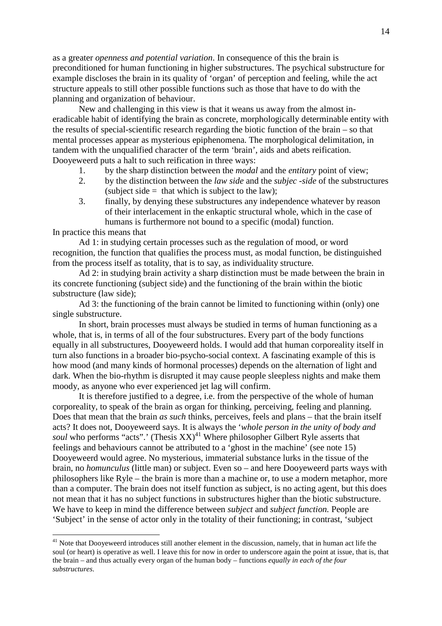as a greater *openness and potential variation*. In consequence of this the brain is preconditioned for human functioning in higher substructures. The psychical substructure for example discloses the brain in its quality of 'organ' of perception and feeling, while the act structure appeals to still other possible functions such as those that have to do with the planning and organization of behaviour.

 New and challenging in this view is that it weans us away from the almost ineradicable habit of identifying the brain as concrete, morphologically determinable entity with the results of special-scientific research regarding the biotic function of the brain – so that mental processes appear as mysterious epiphenomena. The morphological delimitation, in tandem with the unqualified character of the term 'brain', aids and abets reification. Dooyeweerd puts a halt to such reification in three ways:

- 1. by the sharp distinction between the *modal* and the *entitary* point of view;
- 2. by the distinction between the *law side* and the *subjec -side* of the substructures (subject side  $=$  that which is subject to the law);
- 3. finally, by denying these substructures any independence whatever by reason of their interlacement in the enkaptic structural whole, which in the case of humans is furthermore not bound to a specific (modal) function.

In practice this means that

 $\overline{a}$ 

Ad 1: in studying certain processes such as the regulation of mood, or word recognition, the function that qualifies the process must, as modal function, be distinguished from the process itself as totality, that is to say, as individuality structure.

Ad 2: in studying brain activity a sharp distinction must be made between the brain in its concrete functioning (subject side) and the functioning of the brain within the biotic substructure (law side);

Ad 3: the functioning of the brain cannot be limited to functioning within (only) one single substructure.

In short, brain processes must always be studied in terms of human functioning as a whole, that is, in terms of all of the four substructures. Every part of the body functions equally in all substructures, Dooyeweerd holds. I would add that human corporeality itself in turn also functions in a broader bio-psycho-social context. A fascinating example of this is how mood (and many kinds of hormonal processes) depends on the alternation of light and dark. When the bio-rhythm is disrupted it may cause people sleepless nights and make them moody, as anyone who ever experienced jet lag will confirm.

 It is therefore justified to a degree, i.e. from the perspective of the whole of human corporeality, to speak of the brain as organ for thinking, perceiving, feeling and planning. Does that mean that the brain *as such* thinks, perceives, feels and plans – that the brain itself acts? It does not, Dooyeweerd says. It is always the '*whole person in the unity of body and soul* who performs "acts".' (Thesis  $XX$ )<sup>41</sup> Where philosopher Gilbert Ryle asserts that feelings and behaviours cannot be attributed to a 'ghost in the machine' (see note 15) Dooyeweerd would agree. No mysterious, immaterial substance lurks in the tissue of the brain, no *homunculus* (little man) or subject. Even so – and here Dooyeweerd parts ways with philosophers like Ryle – the brain is more than a machine or, to use a modern metaphor, more than a computer. The brain does not itself function as subject, is no acting agent, but this does not mean that it has no subject functions in substructures higher than the biotic substructure. We have to keep in mind the difference between *subject* and *subject function.* People are 'Subject' in the sense of actor only in the totality of their functioning; in contrast, 'subject

<sup>&</sup>lt;sup>41</sup> Note that Dooyeweerd introduces still another element in the discussion, namely, that in human act life the soul (or heart) is operative as well. I leave this for now in order to underscore again the point at issue, that is, that the brain – and thus actually every organ of the human body – functions *equally in each of the four substructures*.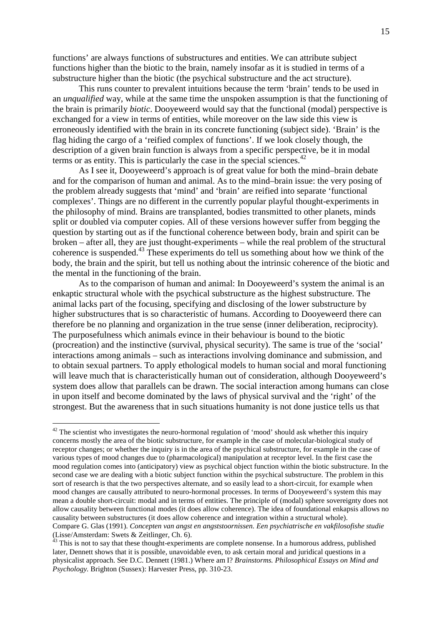functions' are always functions of substructures and entities. We can attribute subject functions higher than the biotic to the brain, namely insofar as it is studied in terms of a substructure higher than the biotic (the psychical substructure and the act structure).

 This runs counter to prevalent intuitions because the term 'brain' tends to be used in an *unqualified* way, while at the same time the unspoken assumption is that the functioning of the brain is primarily *biotic*. Dooyeweerd would say that the functional (modal) perspective is exchanged for a view in terms of entities, while moreover on the law side this view is erroneously identified with the brain in its concrete functioning (subject side). 'Brain' is the flag hiding the cargo of a 'reified complex of functions'. If we look closely though, the description of a given brain function is always from a specific perspective, be it in modal terms or as entity. This is particularly the case in the special sciences.<sup>42</sup>

 As I see it, Dooyeweerd's approach is of great value for both the mind–brain debate and for the comparison of human and animal. As to the mind–brain issue: the very posing of the problem already suggests that 'mind' and 'brain' are reified into separate 'functional complexes'. Things are no different in the currently popular playful thought-experiments in the philosophy of mind. Brains are transplanted, bodies transmitted to other planets, minds split or doubled via computer copies. All of these versions however suffer from begging the question by starting out as if the functional coherence between body, brain and spirit can be broken – after all, they are just thought-experiments – while the real problem of the structural coherence is suspended.<sup>43</sup> These experiments do tell us something about how we think of the body, the brain and the spirit, but tell us nothing about the intrinsic coherence of the biotic and the mental in the functioning of the brain.

 As to the comparison of human and animal: In Dooyeweerd's system the animal is an enkaptic structural whole with the psychical substructure as the highest substructure. The animal lacks part of the focusing, specifying and disclosing of the lower substructure by higher substructures that is so characteristic of humans. According to Dooyeweerd there can therefore be no planning and organization in the true sense (inner deliberation, reciprocity). The purposefulness which animals evince in their behaviour is bound to the biotic (procreation) and the instinctive (survival, physical security). The same is true of the 'social' interactions among animals – such as interactions involving dominance and submission, and to obtain sexual partners. To apply ethological models to human social and moral functioning will leave much that is characteristically human out of consideration, although Dooyeweerd's system does allow that parallels can be drawn. The social interaction among humans can close in upon itself and become dominated by the laws of physical survival and the 'right' of the strongest. But the awareness that in such situations humanity is not done justice tells us that

 $42$  The scientist who investigates the neuro-hormonal regulation of 'mood' should ask whether this inquiry concerns mostly the area of the biotic substructure, for example in the case of molecular-biological study of receptor changes; or whether the inquiry is in the area of the psychical substructure, for example in the case of various types of mood changes due to (pharmacological) manipulation at receptor level. In the first case the mood regulation comes into (anticipatory) view as psychical object function within the biotic substructure. In the second case we are dealing with a biotic subject function within the psychical substructure. The problem in this sort of research is that the two perspectives alternate, and so easily lead to a short-circuit, for example when mood changes are causally attributed to neuro-hormonal processes. In terms of Dooyeweerd's system this may mean a double short-circuit: modal and in terms of entities. The principle of (modal) sphere sovereignty does not allow causality between functional modes (it does allow coherence). The idea of foundational enkapsis allows no causality between substructures (it does allow coherence and integration within a structural whole). Compare G. Glas (1991). *Concepten van angst en angststoornissen. Een psychiatrische en vakfilosofishe studie*  (Lisse/Amsterdam: Swets & Zeitlinger, Ch. 6).

 $43$  This is not to say that these thought-experiments are complete nonsense. In a humorous address, published later, Dennett shows that it is possible, unavoidable even, to ask certain moral and juridical questions in a physicalist approach. See D.C. Dennett (1981.) Where am I? *Brainstorms. Philosophical Essays on Mind and Psychology.* Brighton (Sussex): Harvester Press, pp. 310-23.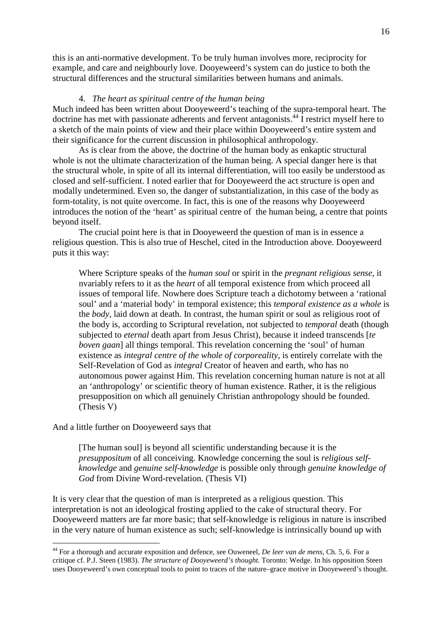this is an anti-normative development. To be truly human involves more, reciprocity for example, and care and neighbourly love. Dooyeweerd's system can do justice to both the structural differences and the structural similarities between humans and animals.

## 4. *The heart as spiritual centre of the human being*

Much indeed has been written about Dooyeweerd's teaching of the supra-temporal heart. The doctrine has met with passionate adherents and fervent antagonists.<sup>44</sup> I restrict myself here to a sketch of the main points of view and their place within Dooyeweerd's entire system and their significance for the current discussion in philosophical anthropology.

 As is clear from the above, the doctrine of the human body as enkaptic structural whole is not the ultimate characterization of the human being. A special danger here is that the structural whole, in spite of all its internal differentiation, will too easily be understood as closed and self-sufficient. I noted earlier that for Dooyeweerd the act structure is open and modally undetermined. Even so, the danger of substantialization, in this case of the body as form-totality, is not quite overcome. In fact, this is one of the reasons why Dooyeweerd introduces the notion of the 'heart' as spiritual centre of the human being, a centre that points beyond itself.

 The crucial point here is that in Dooyeweerd the question of man is in essence a religious question. This is also true of Heschel, cited in the Introduction above. Dooyeweerd puts it this way:

Where Scripture speaks of the *human soul* or spirit in the *pregnant religious sense*, it nvariably refers to it as the *heart* of all temporal existence from which proceed all issues of temporal life. Nowhere does Scripture teach a dichotomy between a 'rational soul' and a 'material body' in temporal existence; this *temporal existence as a whole* is the *body*, laid down at death. In contrast, the human spirit or soul as religious root of the body is, according to Scriptural revelation, not subjected to *temporal* death (though subjected to *eternal* death apart from Jesus Christ), because it indeed transcends [*te boven gaan*] all things temporal. This revelation concerning the 'soul' of human existence as *integral centre of the whole of corporeality*, is entirely correlate with the Self-Revelation of God as *integral* Creator of heaven and earth, who has no autonomous power against Him. This revelation concerning human nature is not at all an 'anthropology' or scientific theory of human existence. Rather, it is the religious presupposition on which all genuinely Christian anthropology should be founded. (Thesis V)

And a little further on Dooyeweerd says that

 $\overline{a}$ 

[The human soul] is beyond all scientific understanding because it is the *presuppositum* of all conceiving. Knowledge concerning the soul is *religious selfknowledge* and *genuine self-knowledge* is possible only through *genuine knowledge of God* from Divine Word-revelation. (Thesis VI)

It is very clear that the question of man is interpreted as a religious question. This interpretation is not an ideological frosting applied to the cake of structural theory. For Dooyeweerd matters are far more basic; that self-knowledge is religious in nature is inscribed in the very nature of human existence as such; self-knowledge is intrinsically bound up with

<sup>44</sup> For a thorough and accurate exposition and defence, see Ouweneel, *De leer van de mens,* Ch. 5, 6. For a critique cf. P.J. Steen (1983). *The structure of Dooyeweerd's thought*. Toronto: Wedge. In his opposition Steen uses Dooyeweerd's own conceptual tools to point to traces of the nature–grace motive in Dooyeweerd's thought.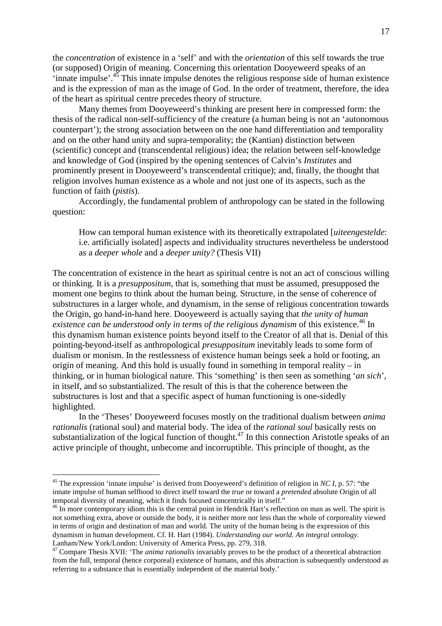the *concentration* of existence in a 'self' and with the *orientation* of this self towards the true (or supposed) Origin of meaning. Concerning this orientation Dooyeweerd speaks of an 'innate impulse'.<sup>45</sup> This innate impulse denotes the religious response side of human existence and is the expression of man as the image of God. In the order of treatment, therefore, the idea of the heart as spiritual centre precedes theory of structure.

 Many themes from Dooyeweerd's thinking are present here in compressed form: the thesis of the radical non-self-sufficiency of the creature (a human being is not an 'autonomous counterpart'); the strong association between on the one hand differentiation and temporality and on the other hand unity and supra-temporality; the (Kantian) distinction between (scientific) concept and (transcendental religious) idea; the relation between self-knowledge and knowledge of God (inspired by the opening sentences of Calvin's *Institutes* and prominently present in Dooyeweerd's transcendental critique); and, finally, the thought that religion involves human existence as a whole and not just one of its aspects, such as the function of faith (*pistis*).

 Accordingly, the fundamental problem of anthropology can be stated in the following question:

How can temporal human existence with its theoretically extrapolated [*uiteengestelde*: i.e. artificially isolated] aspects and individuality structures nevertheless be understood as a *deeper whole* and a *deeper unity?* (Thesis VII)

The concentration of existence in the heart as spiritual centre is not an act of conscious willing or thinking. It is a *presuppositum*, that is, something that must be assumed, presupposed the moment one begins to think about the human being. Structure, in the sense of coherence of substructures in a larger whole, and dynamism, in the sense of religious concentration towards the Origin, go hand-in-hand here. Dooyeweerd is actually saying that *the unity of human existence can be understood only in terms of the religious dynamism* of this existence.<sup>46</sup> In this dynamism human existence points beyond itself to the Creator of all that is. Denial of this pointing-beyond-itself as anthropological *presuppositum* inevitably leads to some form of dualism or monism. In the restlessness of existence human beings seek a hold or footing, an origin of meaning. And this hold is usually found in something in temporal reality  $-$  in thinking, or in human biological nature. This 'something' is then seen as something '*an sich*', in itself, and so substantialized. The result of this is that the coherence between the substructures is lost and that a specific aspect of human functioning is one-sidedly highlighted.

 In the 'Theses' Dooyeweerd focuses mostly on the traditional dualism between *anima rationalis* (rational soul) and material body. The idea of the *rational soul* basically rests on substantialization of the logical function of thought.<sup>47</sup> In this connection Aristotle speaks of an active principle of thought, unbecome and incorruptible. This principle of thought, as the

<sup>45</sup> The expression 'innate impulse' is derived from Dooyeweerd's definition of religion in *NC I*, p. 57: "the innate impulse of human selfhood to direct itself toward the *true* or toward a *pretended* absolute Origin of all temporal diversity of meaning, which it finds focused concentrically in itself."

<sup>&</sup>lt;sup>46</sup> In more contemporary idiom this is the central point in Hendrik Hart's reflection on man as well. The spirit is not something extra, above or outside the body, it is neither more nor less than the whole of corporeality viewed in terms of origin and destination of man and world. The unity of the human being is the expression of this dynamism in human development. Cf. H. Hart (1984). *Understanding our world. An integral ontology.* Lanham/New York/London: University of America Press, pp. 279, 318.

<sup>&</sup>lt;sup>47</sup> Compare Thesis XVII: 'The *anima rationalis* invariably proves to be the product of a theoretical abstraction from the full, temporal (hence corporeal) existence of humans, and this abstraction is subsequently understood as referring to a substance that is essentially independent of the material body.'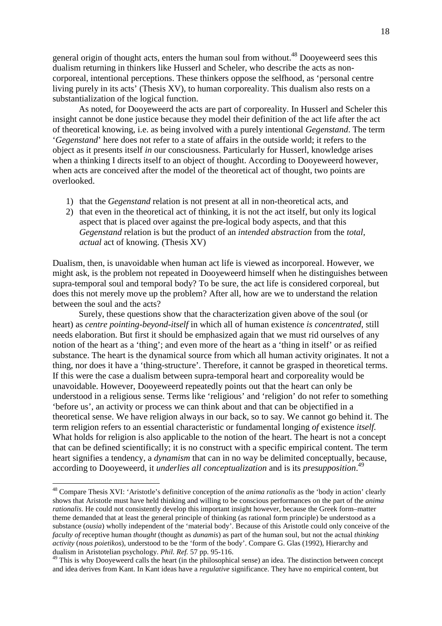general origin of thought acts, enters the human soul from without.<sup>48</sup> Dooyeweerd sees this dualism returning in thinkers like Husserl and Scheler, who describe the acts as noncorporeal, intentional perceptions. These thinkers oppose the selfhood, as 'personal centre living purely in its acts' (Thesis XV), to human corporeality. This dualism also rests on a substantialization of the logical function.

 As noted, for Dooyeweerd the acts are part of corporeality. In Husserl and Scheler this insight cannot be done justice because they model their definition of the act life after the act of theoretical knowing, i.e. as being involved with a purely intentional *Gegenstand*. The term '*Gegenstand*' here does not refer to a state of affairs in the outside world; it refers to the object as it presents itself *in* our consciousness. Particularly for Husserl, knowledge arises when a thinking I directs itself to an object of thought. According to Dooyeweerd however, when acts are conceived after the model of the theoretical act of thought, two points are overlooked.

- 1) that the *Gegenstand* relation is not present at all in non-theoretical acts, and
- 2) that even in the theoretical act of thinking, it is not the act itself, but only its logical aspect that is placed over against the pre-logical body aspects, and that this *Gegenstand* relation is but the product of an *intended abstraction* from the *total, actual* act of knowing. (Thesis XV)

Dualism, then, is unavoidable when human act life is viewed as incorporeal. However, we might ask, is the problem not repeated in Dooyeweerd himself when he distinguishes between supra-temporal soul and temporal body? To be sure, the act life is considered corporeal, but does this not merely move up the problem? After all, how are we to understand the relation between the soul and the acts?

 Surely, these questions show that the characterization given above of the soul (or heart) as *centre pointing-beyond-itself* in which all of human existence *is concentrated*, still needs elaboration. But first it should be emphasized again that we must rid ourselves of any notion of the heart as a 'thing'; and even more of the heart as a 'thing in itself' or as reified substance. The heart is the dynamical source from which all human activity originates. It not a thing, nor does it have a 'thing-structure'. Therefore, it cannot be grasped in theoretical terms. If this were the case a dualism between supra-temporal heart and corporeality would be unavoidable. However, Dooyeweerd repeatedly points out that the heart can only be understood in a religious sense. Terms like 'religious' and 'religion' do not refer to something 'before us', an activity or process we can think about and that can be objectified in a theoretical sense. We have religion always in our back, so to say. We cannot go behind it. The term religion refers to an essential characteristic or fundamental longing *of* existence *itself.* What holds for religion is also applicable to the notion of the heart. The heart is not a concept that can be defined scientifically; it is no construct with a specific empirical content. The term heart signifies a tendency, a *dynamism* that can in no way be delimited conceptually, because, according to Dooyeweerd, it *underlies all conceptualization* and is its *presupposition*. 49

<sup>48</sup> Compare Thesis XVI: 'Aristotle's definitive conception of the *anima rationalis* as the 'body in action' clearly shows that Aristotle must have held thinking and willing to be conscious performances on the part of the *anima rationalis*. He could not consistently develop this important insight however, because the Greek form–matter theme demanded that at least the general principle of thinking (as rational form principle) be understood as a substance (*ousia*) wholly independent of the 'material body'. Because of this Aristotle could only conceive of the *faculty of* receptive human *thought* (thought as *dunamis*) as part of the human soul, but not the actual *thinking activity* (*nous poietikos*), understood to be the 'form of the body'. Compare G. Glas (1992), Hierarchy and dualism in Aristotelian psychology. *Phil. Ref.* 57 pp. 95-116.

<sup>&</sup>lt;sup>49</sup> This is why Dooyeweerd calls the heart (in the philosophical sense) an idea. The distinction between concept and idea derives from Kant. In Kant ideas have a *regulative* significance. They have no empirical content, but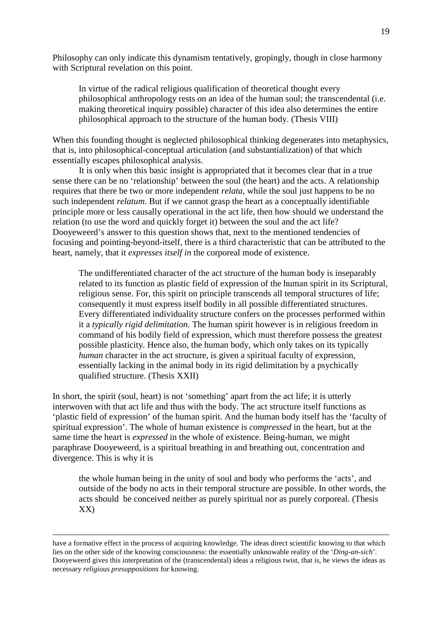Philosophy can only indicate this dynamism tentatively, gropingly, though in close harmony with Scriptural revelation on this point.

In virtue of the radical religious qualification of theoretical thought every philosophical anthropology rests on an idea of the human soul; the transcendental (i.e. making theoretical inquiry possible) character of this idea also determines the entire philosophical approach to the structure of the human body. (Thesis VIII)

When this founding thought is neglected philosophical thinking degenerates into metaphysics, that is, into philosophical-conceptual articulation (and substantialization) of that which essentially escapes philosophical analysis.

 It is only when this basic insight is appropriated that it becomes clear that in a true sense there can be no 'relationship' between the soul (the heart) and the acts. A relationship requires that there be two or more independent *relata*, while the soul just happens to be no such independent *relatum*. But if we cannot grasp the heart as a conceptually identifiable principle more or less causally operational in the act life, then how should we understand the relation (to use the word and quickly forget it) between the soul and the act life? Dooyeweerd's answer to this question shows that, next to the mentioned tendencies of focusing and pointing-beyond-itself, there is a third characteristic that can be attributed to the heart, namely, that it *expresses itself in* the corporeal mode of existence.

The undifferentiated character of the act structure of the human body is inseparably related to its function as plastic field of expression of the human spirit in its Scriptural, religious sense. For, this spirit on principle transcends all temporal structures of life; consequently it must express itself bodily in all possible differentiated structures. Every differentiated individuality structure confers on the processes performed within it a *typically rigid delimitation.* The human spirit however is in religious freedom in command of his bodily field of expression, which must therefore possess the greatest possible plasticity. Hence also, the human body, which only takes on its typically *human* character in the act structure, is given a spiritual faculty of expression, essentially lacking in the animal body in its rigid delimitation by a psychically qualified structure. (Thesis XXII)

In short, the spirit (soul, heart) is not 'something' apart from the act life; it is utterly interwoven with that act life and thus with the body. The act structure itself functions as 'plastic field of expression' of the human spirit. And the human body itself has the 'faculty of spiritual expression'. The whole of human existence is *compressed* in the heart, but at the same time the heart is *expressed* in the whole of existence. Being-human, we might paraphrase Dooyeweerd, is a spiritual breathing in and breathing out, concentration and divergence. This is why it is

the whole human being in the unity of soul and body who performs the 'acts', and outside of the body no acts in their temporal structure are possible. In other words, the acts should be conceived neither as purely spiritual nor as purely corporeal. (Thesis XX)

have a formative effect in the process of acquiring knowledge. The ideas direct scientific knowing to that which lies on the other side of the knowing consciousness: the essentially unknowable reality of the '*Ding-an-sich*'. Dooyeweerd gives this interpretation of the (transcendental) ideas a religious twist, that is, he views the ideas as necessary *religious presuppositions* for knowing.

-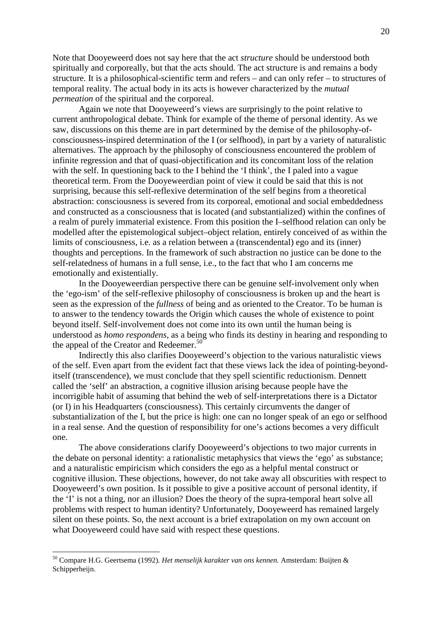Note that Dooyeweerd does not say here that the act *structure* should be understood both spiritually and corporeally, but that the acts should. The act structure is and remains a body structure. It is a philosophical-scientific term and refers – and can only refer – to structures of temporal reality. The actual body in its acts is however characterized by the *mutual permeation* of the spiritual and the corporeal.

 Again we note that Dooyeweerd's views are surprisingly to the point relative to current anthropological debate. Think for example of the theme of personal identity. As we saw, discussions on this theme are in part determined by the demise of the philosophy-ofconsciousness-inspired determination of the I (or selfhood), in part by a variety of naturalistic alternatives. The approach by the philosophy of consciousness encountered the problem of infinite regression and that of quasi-objectification and its concomitant loss of the relation with the self. In questioning back to the I behind the 'I think', the I paled into a vague theoretical term. From the Dooyeweerdian point of view it could be said that this is not surprising, because this self-reflexive determination of the self begins from a theoretical abstraction: consciousness is severed from its corporeal, emotional and social embeddedness and constructed as a consciousness that is located (and substantialized) within the confines of a realm of purely immaterial existence. From this position the I–selfhood relation can only be modelled after the epistemological subject–object relation, entirely conceived of as within the limits of consciousness, i.e. as a relation between a (transcendental) ego and its (inner) thoughts and perceptions. In the framework of such abstraction no justice can be done to the self-relatedness of humans in a full sense, i.e., to the fact that who I am concerns me emotionally and existentially.

 In the Dooyeweerdian perspective there can be genuine self-involvement only when the 'ego-ism' of the self-reflexive philosophy of consciousness is broken up and the heart is seen as the expression of the *fullness* of being and as oriented to the Creator. To be human is to answer to the tendency towards the Origin which causes the whole of existence to point beyond itself. Self-involvement does not come into its own until the human being is understood as *homo respondens*, as a being who finds its destiny in hearing and responding to the appeal of the Creator and Redeemer.<sup>50</sup>

 Indirectly this also clarifies Dooyeweerd's objection to the various naturalistic views of the self. Even apart from the evident fact that these views lack the idea of pointing-beyonditself (transcendence), we must conclude that they spell scientific reductionism. Dennett called the 'self' an abstraction, a cognitive illusion arising because people have the incorrigible habit of assuming that behind the web of self-interpretations there is a Dictator (or I) in his Headquarters (consciousness). This certainly circumvents the danger of substantialization of the I, but the price is high: one can no longer speak of an ego or selfhood in a real sense. And the question of responsibility for one's actions becomes a very difficult one.

 The above considerations clarify Dooyeweerd's objections to two major currents in the debate on personal identity: a rationalistic metaphysics that views the 'ego' as substance; and a naturalistic empiricism which considers the ego as a helpful mental construct or cognitive illusion. These objections, however, do not take away all obscurities with respect to Dooyeweerd's own position. Is it possible to give a positive account of personal identity, if the 'I' is not a thing, nor an illusion? Does the theory of the supra-temporal heart solve all problems with respect to human identity? Unfortunately, Dooyeweerd has remained largely silent on these points. So, the next account is a brief extrapolation on my own account on what Dooyeweerd could have said with respect these questions.

<sup>50</sup> Compare H.G. Geertsema (1992). *Het menselijk karakter van ons kennen.* Amsterdam: Buijten & Schipperheijn.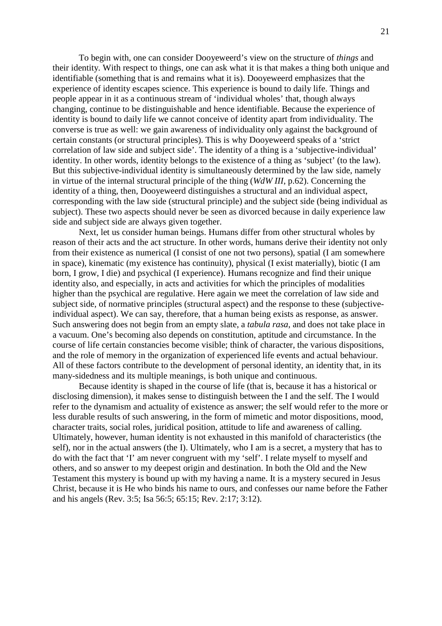To begin with, one can consider Dooyeweerd's view on the structure of *things* and their identity*.* With respect to things, one can ask what it is that makes a thing both unique and identifiable (something that is and remains what it is). Dooyeweerd emphasizes that the experience of identity escapes science. This experience is bound to daily life. Things and people appear in it as a continuous stream of 'individual wholes' that, though always changing, continue to be distinguishable and hence identifiable. Because the experience of identity is bound to daily life we cannot conceive of identity apart from individuality. The converse is true as well: we gain awareness of individuality only against the background of certain constants (or structural principles). This is why Dooyeweerd speaks of a 'strict correlation of law side and subject side'. The identity of a thing is a 'subjective-individual' identity. In other words, identity belongs to the existence of a thing as 'subject' (to the law). But this subjective-individual identity is simultaneously determined by the law side, namely in virtue of the internal structural principle of the thing (*WdW III*, p.62). Concerning the identity of a thing, then, Dooyeweerd distinguishes a structural and an individual aspect, corresponding with the law side (structural principle) and the subject side (being individual as subject). These two aspects should never be seen as divorced because in daily experience law side and subject side are always given together.

 Next, let us consider human beings. Humans differ from other structural wholes by reason of their acts and the act structure. In other words, humans derive their identity not only from their existence as numerical (I consist of one not two persons), spatial (I am somewhere in space), kinematic (my existence has continuity), physical (I exist materially), biotic (I am born, I grow, I die) and psychical (I experience). Humans recognize and find their unique identity also, and especially, in acts and activities for which the principles of modalities higher than the psychical are regulative. Here again we meet the correlation of law side and subject side, of normative principles (structural aspect) and the response to these (subjectiveindividual aspect). We can say, therefore, that a human being exists as response, as answer. Such answering does not begin from an empty slate, a *tabula rasa*, and does not take place in a vacuum. One's becoming also depends on constitution, aptitude and circumstance. In the course of life certain constancies become visible; think of character, the various dispositions, and the role of memory in the organization of experienced life events and actual behaviour. All of these factors contribute to the development of personal identity, an identity that, in its many-sidedness and its multiple meanings, is both unique and continuous.

 Because identity is shaped in the course of life (that is, because it has a historical or disclosing dimension), it makes sense to distinguish between the I and the self. The I would refer to the dynamism and actuality of existence as answer; the self would refer to the more or less durable results of such answering, in the form of mimetic and motor dispositions, mood, character traits, social roles, juridical position, attitude to life and awareness of calling. Ultimately, however, human identity is not exhausted in this manifold of characteristics (the self), nor in the actual answers (the I). Ultimately, who I am is a secret, a mystery that has to do with the fact that 'I' am never congruent with my 'self'. I relate myself to myself and others, and so answer to my deepest origin and destination. In both the Old and the New Testament this mystery is bound up with my having a name. It is a mystery secured in Jesus Christ, because it is He who binds his name to ours, and confesses our name before the Father and his angels (Rev. 3:5; Isa 56:5; 65:15; Rev. 2:17; 3:12).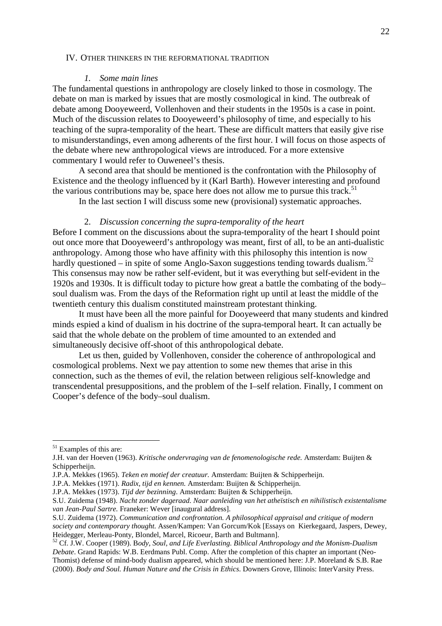## IV. OTHER THINKERS IN THE REFORMATIONAL TRADITION

#### *1. Some main lines*

The fundamental questions in anthropology are closely linked to those in cosmology. The debate on man is marked by issues that are mostly cosmological in kind. The outbreak of debate among Dooyeweerd, Vollenhoven and their students in the 1950s is a case in point. Much of the discussion relates to Dooyeweerd's philosophy of time, and especially to his teaching of the supra-temporality of the heart. These are difficult matters that easily give rise to misunderstandings, even among adherents of the first hour. I will focus on those aspects of the debate where new anthropological views are introduced. For a more extensive commentary I would refer to Ouweneel's thesis.

 A second area that should be mentioned is the confrontation with the Philosophy of Existence and the theology influenced by it (Karl Barth). However interesting and profound the various contributions may be, space here does not allow me to pursue this track.<sup>51</sup>

In the last section I will discuss some new (provisional) systematic approaches.

## 2. *Discussion concerning the supra-temporality of the heart*

Before I comment on the discussions about the supra-temporality of the heart I should point out once more that Dooyeweerd's anthropology was meant, first of all, to be an anti-dualistic anthropology. Among those who have affinity with this philosophy this intention is now hardly questioned – in spite of some Anglo-Saxon suggestions tending towards dualism.<sup>52</sup> This consensus may now be rather self-evident, but it was everything but self-evident in the 1920s and 1930s. It is difficult today to picture how great a battle the combating of the body– soul dualism was. From the days of the Reformation right up until at least the middle of the twentieth century this dualism constituted mainstream protestant thinking.

 It must have been all the more painful for Dooyeweerd that many students and kindred minds espied a kind of dualism in his doctrine of the supra-temporal heart. It can actually be said that the whole debate on the problem of time amounted to an extended and simultaneously decisive off-shoot of this anthropological debate.

 Let us then, guided by Vollenhoven, consider the coherence of anthropological and cosmological problems. Next we pay attention to some new themes that arise in this connection, such as the themes of evil, the relation between religious self-knowledge and transcendental presuppositions, and the problem of the I–self relation. Finally, I comment on Cooper's defence of the body–soul dualism.

<sup>&</sup>lt;sup>51</sup> Examples of this are:

J.H. van der Hoeven (1963). *Kritische ondervraging van de fenomenologische rede.* Amsterdam: Buijten & Schipperheijn.

J.P.A. Mekkes (1965). *Teken en motief der creatuur.* Amsterdam: Buijten & Schipperheijn.

J.P.A. Mekkes (1971). *Radix, tijd en kennen.* Amsterdam: Buijten & Schipperheijn.

J.P.A. Mekkes (1973). *Tijd der bezinning*. Amsterdam: Buijten & Schipperheijn.

S.U. Zuidema (1948). *Nacht zonder dageraad. Naar aanleiding van het atheïstisch en nihilistisch existentalisme van Jean-Paul Sartre.* Franeker: Wever [inaugural address].

S.U. Zuidema (1972). *Communication and confrontation. A philosophical appraisal and critique of modern society and contemporary thought.* Assen/Kampen: Van Gorcum/Kok [Essays on Kierkegaard, Jaspers, Dewey, Heidegger, Merleau-Ponty, Blondel, Marcel, Ricoeur, Barth and Bultmann].

<sup>52</sup> Cf. J.W. Cooper (1989). B*ody, Soul, and Life Everlasting. Biblical Anthropology and the Monism-Dualism Debate*. Grand Rapids: W.B. Eerdmans Publ. Comp. After the completion of this chapter an important (Neo-Thomist) defense of mind-body dualism appeared, which should be mentioned here: J.P. Moreland & S.B. Rae (2000). *Body and Soul. Human Nature and the Crisis in Ethics*. Downers Grove, Illinois: InterVarsity Press.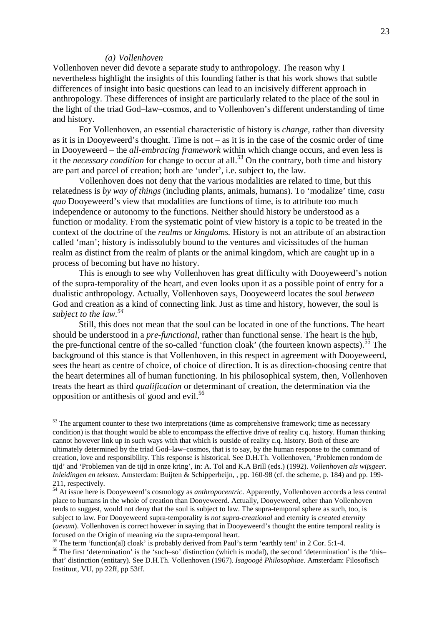#### *(a) Vollenhoven*

 $\overline{a}$ 

Vollenhoven never did devote a separate study to anthropology. The reason why I nevertheless highlight the insights of this founding father is that his work shows that subtle differences of insight into basic questions can lead to an incisively different approach in anthropology. These differences of insight are particularly related to the place of the soul in the light of the triad God–law–cosmos, and to Vollenhoven's different understanding of time and history.

 For Vollenhoven, an essential characteristic of history is *change*, rather than diversity as it is in Dooyeweerd's thought. Time is not  $-$  as it is in the case of the cosmic order of time in Dooyeweerd – the *all-embracing framework* within which change occurs, and even less is it the *necessary condition* for change to occur at all.<sup>53</sup> On the contrary, both time and history are part and parcel of creation; both are 'under', i.e. subject to, the law.

 Vollenhoven does not deny that the various modalities are related to time, but this relatedness is *by way of things* (including plants, animals, humans). To 'modalize' time, *casu quo* Dooyeweerd's view that modalities are functions of time, is to attribute too much independence or autonomy to the functions. Neither should history be understood as a function or modality. From the systematic point of view history is a topic to be treated in the context of the doctrine of the *realms* or *kingdoms.* History is not an attribute of an abstraction called 'man'; history is indissolubly bound to the ventures and vicissitudes of the human realm as distinct from the realm of plants or the animal kingdom, which are caught up in a process of becoming but have no history.

 This is enough to see why Vollenhoven has great difficulty with Dooyeweerd's notion of the supra-temporality of the heart, and even looks upon it as a possible point of entry for a dualistic anthropology. Actually, Vollenhoven says, Dooyeweerd locates the soul *between* God and creation as a kind of connecting link. Just as time and history, however, the soul is *subject to the law.<sup>54</sup>*

 Still, this does not mean that the soul can be located in one of the functions. The heart should be understood in a *pre-functional*, rather than functional sense. The heart is the hub, the pre-functional centre of the so-called 'function cloak' (the fourteen known aspects).<sup>55</sup> The background of this stance is that Vollenhoven, in this respect in agreement with Dooyeweerd, sees the heart as centre of choice, of choice of direction. It is as direction-choosing centre that the heart determines all of human functioning. In his philosophical system, then, Vollenhoven treats the heart as third *qualification* or determinant of creation, the determination via the opposition or antithesis of good and evil.<sup>56</sup>

<sup>55</sup> The term 'function(al) cloak' is probably derived from Paul's term 'earthly tent' in 2 Cor. 5:1-4.

 $53$  The argument counter to these two interpretations (time as comprehensive framework; time as necessary condition) is that thought would be able to encompass the effective drive of reality c.q. history. Human thinking cannot however link up in such ways with that which is outside of reality c.q. history. Both of these are ultimately determined by the triad God–law–cosmos, that is to say, by the human response to the command of creation, love and responsibility. This response is historical. See D.H.Th. Vollenhoven, 'Problemen rondom de tijd' and 'Problemen van de tijd in onze kring', in: A. Tol and K.A Brill (eds.) (1992). *Vollenhoven als wijsgeer. Inleidingen en teksten.* Amsterdam: Buijten & Schipperheijn, , pp. 160-98 (cf. the scheme, p. 184) and pp. 199- 211, respectively.

<sup>54</sup> At issue here is Dooyeweerd's cosmology as *anthropocentric*. Apparently, Vollenhoven accords a less central place to humans in the whole of creation than Dooyeweerd. Actually, Dooyeweerd, other than Vollenhoven tends to suggest, would not deny that the soul is subject to law. The supra-temporal sphere as such, too, is subject to law. For Dooyeweerd supra-temporality is *not supra-creational* and eternity is *created eternity* (*aevum*). Vollenhoven is correct however in saying that in Dooyeweerd's thought the entire temporal reality is focused on the Origin of meaning *via* the supra-temporal heart.

<sup>&</sup>lt;sup>56</sup> The first 'determination' is the 'such–so' distinction (which is modal), the second 'determination' is the 'this– that' distinction (entitary). See D.H.Th. Vollenhoven (1967). *Isagoogè Philosophiae*. Amsterdam: Filosofisch Instituut, VU, pp 22ff, pp 53ff.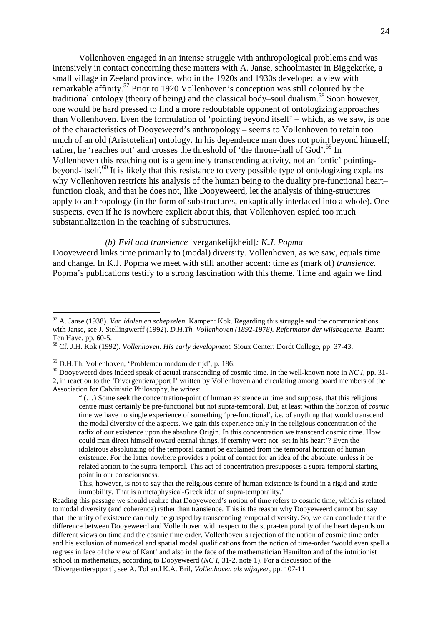Vollenhoven engaged in an intense struggle with anthropological problems and was intensively in contact concerning these matters with A. Janse, schoolmaster in Biggekerke, a small village in Zeeland province, who in the 1920s and 1930s developed a view with remarkable affinity.<sup>57</sup> Prior to 1920 Vollenhoven's conception was still coloured by the traditional ontology (theory of being) and the classical body–soul dualism.<sup>58</sup> Soon however, one would be hard pressed to find a more redoubtable opponent of ontologizing approaches than Vollenhoven. Even the formulation of 'pointing beyond itself' – which, as we saw, is one of the characteristics of Dooyeweerd's anthropology – seems to Vollenhoven to retain too much of an old (Aristotelian) ontology. In his dependence man does not point beyond himself; rather, he 'reaches out' and crosses the threshold of 'the throne-hall of God'.<sup>59</sup> In Vollenhoven this reaching out is a genuinely transcending activity, not an 'ontic' pointingbeyond-itself.<sup>60</sup> It is likely that this resistance to every possible type of ontologizing explains why Vollenhoven restricts his analysis of the human being to the duality pre-functional heart– function cloak, and that he does not, like Dooyeweerd, let the analysis of thing-structures apply to anthropology (in the form of substructures, enkaptically interlaced into a whole). One suspects, even if he is nowhere explicit about this, that Vollenhoven espied too much substantialization in the teaching of substructures.

#### *(b) Evil and transience* [vergankelijkheid]*: K.J. Popma*

Dooyeweerd links time primarily to (modal) diversity. Vollenhoven, as we saw, equals time and change. In K.J. Popma we meet with still another accent: time as (mark of) *transience.* Popma's publications testify to a strong fascination with this theme. Time and again we find

<sup>57</sup> A. Janse (1938). *Van idolen en schepselen*. Kampen: Kok. Regarding this struggle and the communications with Janse, see J. Stellingwerff (1992). *D.H.Th. Vollenhoven (1892-1978). Reformator der wijsbegeerte.* Baarn: Ten Have, pp. 60-5.

<sup>58</sup> Cf. J.H. Kok (1992). *Vollenhoven. His early development.* Sioux Center: Dordt College, pp. 37-43.

<sup>59</sup> D.H.Th. Vollenhoven, 'Problemen rondom de tijd', p. 186.

<sup>60</sup> Dooyeweerd does indeed speak of actual transcending of cosmic time. In the well-known note in *NC I*, pp. 31- 2, in reaction to the 'Divergentierapport I' written by Vollenhoven and circulating among board members of the Association for Calvinistic Philosophy, he writes:

<sup>&</sup>quot; (…) Some seek the concentration-point of human existence *in* time and suppose, that this religious centre must certainly be pre-functional but not supra-temporal. But, at least within the horizon of *cosmic* time we have no single experience of something 'pre-functional', i.e. of anything that would transcend the modal diversity of the aspects. We gain this experience only in the religious concentration of the radix of our existence upon the absolute Origin. In this concentration we transcend cosmic time. How could man direct himself toward eternal things, if eternity were not 'set in his heart'? Even the idolatrous absolutizing of the temporal cannot be explained from the temporal horizon of human existence. For the latter nowhere provides a point of contact for an idea of the absolute, unless it be related apriori to the supra-temporal. This act of concentration presupposes a supra-temporal startingpoint in our consciousness.

This, however, is not to say that the religious centre of human existence is found in a rigid and static immobility. That is a metaphysical-Greek idea of supra-temporality."

Reading this passage we should realize that Dooyeweerd's notion of time refers to cosmic time, which is related to modal diversity (and coherence) rather than transience. This is the reason why Dooyeweerd cannot but say that the unity of existence can only be grasped by transcending temporal diversity. So, we can conclude that the difference between Dooyeweerd and Vollenhoven with respect to the supra-temporality of the heart depends on different views on time and the cosmic time order. Vollenhoven's rejection of the notion of cosmic time order and his exclusion of numerical and spatial modal qualifications from the notion of time-order 'would even spell a regress in face of the view of Kant' and also in the face of the mathematician Hamilton and of the intuitionist school in mathematics, according to Dooyeweerd (*NC I*, 31-2, note 1). For a discussion of the 'Divergentierapport', see A. Tol and K.A. Bril, *Vollenhoven als wijsgeer,* pp. 107-11.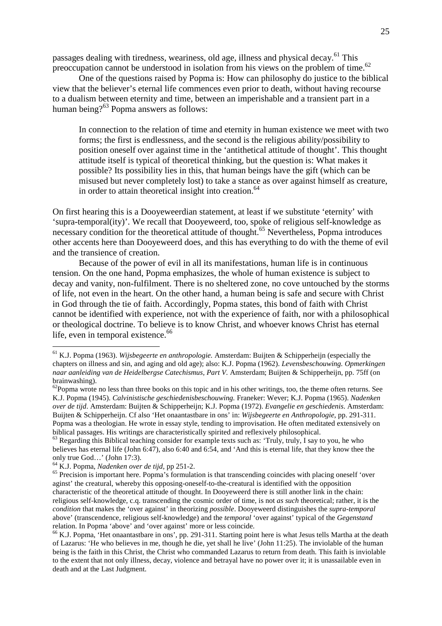passages dealing with tiredness, weariness, old age, illness and physical decay.<sup>61</sup> This preoccupation cannot be understood in isolation from his views on the problem of time.<sup>62</sup>

 One of the questions raised by Popma is: How can philosophy do justice to the biblical view that the believer's eternal life commences even prior to death, without having recourse to a dualism between eternity and time, between an imperishable and a transient part in a human being?<sup>63</sup> Popma answers as follows:

In connection to the relation of time and eternity in human existence we meet with two forms; the first is endlessness, and the second is the religious ability/possibility to position oneself over against time in the 'antithetical attitude of thought'. This thought attitude itself is typical of theoretical thinking, but the question is: What makes it possible? Its possibility lies in this, that human beings have the gift (which can be misused but never completely lost) to take a stance as over against himself as creature, in order to attain theoretical insight into creation.<sup>64</sup>

On first hearing this is a Dooyeweerdian statement, at least if we substitute 'eternity' with 'supra-temporal(ity)'. We recall that Dooyeweerd, too, spoke of religious self-knowledge as necessary condition for the theoretical attitude of thought.<sup>65</sup> Nevertheless, Popma introduces other accents here than Dooyeweerd does, and this has everything to do with the theme of evil and the transience of creation.

 Because of the power of evil in all its manifestations, human life is in continuous tension. On the one hand, Popma emphasizes, the whole of human existence is subject to decay and vanity, non-fulfilment. There is no sheltered zone, no cove untouched by the storms of life, not even in the heart. On the other hand, a human being is safe and secure with Christ in God through the tie of faith. Accordingly, Popma states, this bond of faith with Christ cannot be identified with experience, not with the experience of faith, nor with a philosophical or theological doctrine. To believe is to know Christ, and whoever knows Christ has eternal life, even in temporal existence.<sup>66</sup>

<sup>61</sup> K.J. Popma (1963). *Wijsbegeerte en anthropologie.* Amsterdam: Buijten & Schipperheijn (especially the chapters on illness and sin, and aging and old age); also: K.J. Popma (1962). *Levensbeschouwing. Opmerkingen naar aanleiding van de Heidelbergse Catechismus, Part V.* Amsterdam; Buijten & Schipperheijn, pp. 75ff (on brainwashing).

 $62$ Popma wrote no less than three books on this topic and in his other writings, too, the theme often returns. See K.J. Popma (1945). *Calvinistische geschiedenisbeschouwing.* Franeker: Wever; K.J. Popma (1965). *Nadenken over de tijd*. Amsterdam: Buijten & Schipperheijn; K.J. Popma (1972). *Evangelie en geschiedenis*. Amsterdam: Buijten & Schipperheijn. Cf also 'Het onaantastbare in ons' in: *Wijsbegeerte en Anthropologie*, pp. 291-311. Popma was a theologian. He wrote in essay style, tending to improvisation. He often meditated extensively on biblical passages. His writings are characteristically spirited and reflexively philosophical.

 $^{63}$  Regarding this Biblical teaching consider for example texts such as: 'Truly, truly, I say to you, he who believes has eternal life (John 6:47), also 6:40 and 6:54, and 'And this is eternal life, that they know thee the only true God…' (John 17:3).

<sup>64</sup> K.J. Popma, *Nadenken over de tijd,* pp 251-2.

<sup>&</sup>lt;sup>65</sup> Precision is important here. Popma's formulation is that transcending coincides with placing oneself 'over aginst' the creatural, whereby this opposing-oneself-to-the-creatural is identified with the opposition characteristic of the theoretical attitude of thought. In Dooyeweerd there is still another link in the chain: religious self-knowledge, c.q. transcending the cosmic order of time, is not *as such* theoretical; rather, it is the *condition* that makes the 'over against' in theorizing *possible*. Dooyeweerd distinguishes the *supra-temporal* above' (transcendence, religious self-knowledge) and the *temporal* 'over against' typical of the *Gegenstand*  relation. In Popma 'above' and 'over against' more or less coincide.

<sup>&</sup>lt;sup>66</sup> K.J. Popma, 'Het onaantastbare in ons', pp. 291-311. Starting point here is what Jesus tells Martha at the death of Lazarus: 'He who believes in me, though he die, yet shall he live' (John 11:25). The inviolable of the human being is the faith in this Christ, the Christ who commanded Lazarus to return from death. This faith is inviolable to the extent that not only illness, decay, violence and betrayal have no power over it; it is unassailable even in death and at the Last Judgment.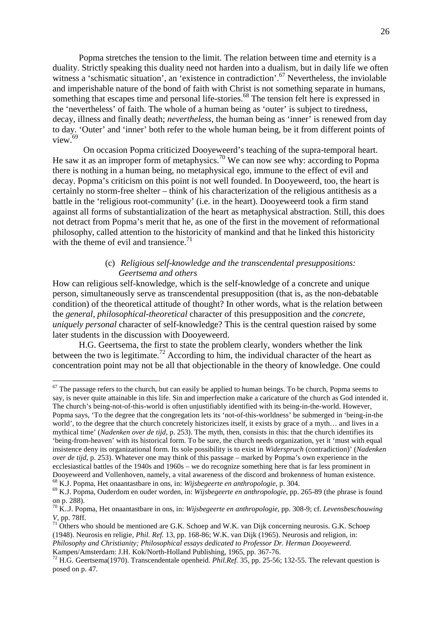Popma stretches the tension to the limit. The relation between time and eternity is a duality. Strictly speaking this duality need not harden into a dualism, but in daily life we often witness a 'schismatic situation', an 'existence in contradiction'.<sup>67</sup> Nevertheless, the inviolable and imperishable nature of the bond of faith with Christ is not something separate in humans, something that escapes time and personal life-stories.<sup>68</sup> The tension felt here is expressed in the 'nevertheless' of faith. The whole of a human being as 'outer' is subject to tiredness, decay, illness and finally death; *nevertheless*, the human being as 'inner' is renewed from day to day. 'Outer' and 'inner' both refer to the whole human being, be it from different points of view.<sup>69</sup>

 On occasion Popma criticized Dooyeweerd's teaching of the supra-temporal heart. He saw it as an improper form of metaphysics.<sup>70</sup> We can now see why: according to Popma there is nothing in a human being, no metaphysical ego, immune to the effect of evil and decay. Popma's criticism on this point is not well founded. In Dooyeweerd, too, the heart is certainly no storm-free shelter – think of his characterization of the religious antithesis as a battle in the 'religious root-community' (i.e. in the heart). Dooyeweerd took a firm stand against all forms of substantialization of the heart as metaphysical abstraction. Still, this does not detract from Popma's merit that he, as one of the first in the movement of reformational philosophy, called attention to the historicity of mankind and that he linked this historicity with the theme of evil and transience.<sup>71</sup>

# (c) *Religious self-knowledge and the transcendental presuppositions: Geertsema and others*

How can religious self-knowledge, which is the self-knowledge of a concrete and unique person, simultaneously serve as transcendental presupposition (that is, as the non-debatable condition) of the theoretical attitude of thought? In other words, what is the relation between the *general, philosophical-theoretical* character of this presupposition and the *concrete, uniquely personal* character of self-knowledge? This is the central question raised by some later students in the discussion with Dooyeweerd.

 H.G. Geertsema, the first to state the problem clearly, wonders whether the link between the two is legitimate.<sup>72</sup> According to him, the individual character of the heart as concentration point may not be all that objectionable in the theory of knowledge. One could

 $67$  The passage refers to the church, but can easily be applied to human beings. To be church, Popma seems to say, is never quite attainable in this life. Sin and imperfection make a caricature of the church as God intended it. The church's being-not-of-this-world is often unjustifiably identified with its being-in-the-world. However, Popma says, 'To the degree that the congregation lets its 'not-of-this-worldness' be submerged in 'being-ín-the world', to the degree that the church concretely historicizes itself, it exists by grace of a myth… and lives in a mythical time' (*Nadenken over de tijd*, p. 253). The myth, then, consists in this: that the church identifies its 'being-from-heaven' with its historical form. To be sure, the church needs organization, yet it 'must with equal insistence deny its organizational form. Its sole possibility is to exist in *Widerspruch* (contradiction)' (*Nadenken over de tijd*, p. 253). Whatever one may think of this passage – marked by Popma's own experience in the ecclesiastical battles of the 1940s and 1960s – we do recognize something here that is far less prominent in Dooyeweerd and Vollenhoven, namely, a vital awareness of the discord and brokenness of human existence. <sup>68</sup> K.J. Popma, Het onaantastbare in ons, in: *Wijsbegeerte en anthropologie*, p. 304.

<sup>69</sup> K.J. Popma, Ouderdom en ouder worden, in: *Wijsbegeerte en anthropologie*, pp. 265-89 (the phrase is found on p. 288).

<sup>70</sup> K..J. Popma, Het onaantastbare in ons, in: *Wijsbegeerte en anthropologie*, pp. 308-9; cf. *Levensbeschouwing V*, pp. 78ff.

 $71$  Others who should be mentioned are G.K. Schoep and W.K. van Dijk concerning neurosis. G.K. Schoep (1948). Neurosis en religie, *Phil. Ref.* 13, pp. 168-86; W.K. van Dijk (1965). Neurosis and religion, in: *Philosophy and Christianity; Philosophical essays dedicated to Professor Dr. Herman Dooyeweerd.* Kampen/Amsterdam: J.H. Kok/North-Holland Publishing, 1965, pp. 367-76.

<sup>72</sup> H.G. Geertsema(1970). Transcendentale openheid. *Phil.Ref.* 35, pp. 25-56; 132-55. The relevant question is posed on p. 47.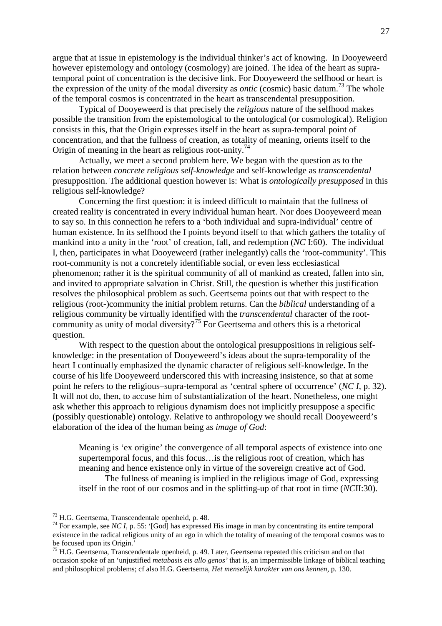argue that at issue in epistemology is the individual thinker's act of knowing. In Dooyeweerd however epistemology and ontology (cosmology) are joined. The idea of the heart as supratemporal point of concentration is the decisive link. For Dooyeweerd the selfhood or heart is the expression of the unity of the modal diversity as *ontic* (cosmic) basic datum.<sup>73</sup> The whole of the temporal cosmos is concentrated in the heart as transcendental presupposition.

 Typical of Dooyeweerd is that precisely the *religious* nature of the selfhood makes possible the transition from the epistemological to the ontological (or cosmological). Religion consists in this, that the Origin expresses itself in the heart as supra-temporal point of concentration, and that the fullness of creation, as totality of meaning, orients itself to the Origin of meaning in the heart as religious root-unity.<sup>74</sup>

 Actually, we meet a second problem here. We began with the question as to the relation between *concrete religious self-knowledge* and self-knowledge as *transcendental* presupposition. The additional question however is: What is *ontologically presupposed* in this religious self-knowledge?

 Concerning the first question: it is indeed difficult to maintain that the fullness of created reality is concentrated in every individual human heart. Nor does Dooyeweerd mean to say so. In this connection he refers to a 'both individual and supra-individual' centre of human existence. In its selfhood the I points beyond itself to that which gathers the totality of mankind into a unity in the 'root' of creation, fall, and redemption (*NC* I:60). The individual I, then, participates in what Dooyeweerd (rather inelegantly) calls the 'root-community'. This root-community is not a concretely identifiable social, or even less ecclesiastical phenomenon; rather it is the spiritual community of all of mankind as created, fallen into sin, and invited to appropriate salvation in Christ. Still, the question is whether this justification resolves the philosophical problem as such. Geertsema points out that with respect to the religious (root-)community the initial problem returns. Can the *biblical* understanding of a religious community be virtually identified with the *transcendental* character of the rootcommunity as unity of modal diversity?<sup>75</sup> For Geertsema and others this is a rhetorical question.

 With respect to the question about the ontological presuppositions in religious selfknowledge: in the presentation of Dooyeweerd's ideas about the supra-temporality of the heart I continually emphasized the dynamic character of religious self-knowledge. In the course of his life Dooyeweerd underscored this with increasing insistence, so that at some point he refers to the religious–supra-temporal as 'central sphere of occurrence' (*NC I*, p. 32). It will not do, then, to accuse him of substantialization of the heart. Nonetheless, one might ask whether this approach to religious dynamism does not implicitly presuppose a specific (possibly questionable) ontology. Relative to anthropology we should recall Dooyeweerd's elaboration of the idea of the human being as *image of God*:

Meaning is 'ex origine' the convergence of all temporal aspects of existence into one supertemporal focus, and this focus…is the religious root of creation, which has meaning and hence existence only in virtue of the sovereign creative act of God.

The fullness of meaning is implied in the religious image of God, expressing itself in the root of our cosmos and in the splitting-up of that root in time (*NC*II:30).

<sup>&</sup>lt;sup>73</sup> H.G. Geertsema, Transcendentale openheid, p. 48.

<sup>&</sup>lt;sup>74</sup> For example, see *NC I*, p. 55: '[God] has expressed His image in man by concentrating its entire temporal existence in the radical religious unity of an ego in which the totality of meaning of the temporal cosmos was to be focused upon its Origin.'

<sup>&</sup>lt;sup>75</sup> H.G. Geertsema, Transcendentale openheid, p. 49. Later, Geertsema repeated this criticism and on that occasion spoke of an 'unjustified *metabasis eis allo genos'* that is, an impermissible linkage of biblical teaching and philosophical problems; cf also H.G. Geertsema, *Het menselijk karakter van ons kennen,* p. 130.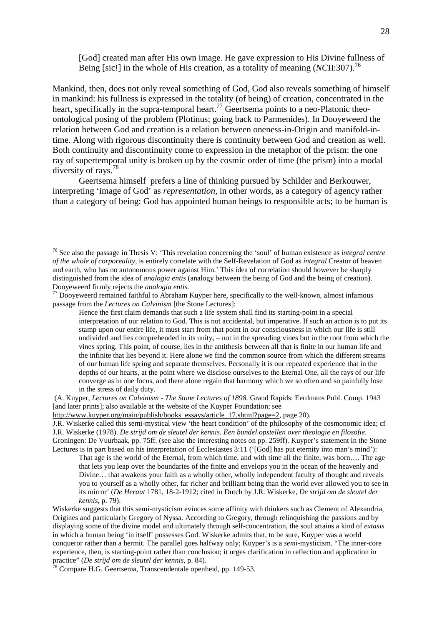[God] created man after His own image. He gave expression to His Divine fullness of Being [sic!] in the whole of His creation, as a totality of meaning (*NCII:307*).<sup>76</sup>

Mankind, then, does not only reveal something of God, God also reveals something of himself in mankind: his fullness is expressed in the totality (of being) of creation, concentrated in the heart, specifically in the supra-temporal heart.<sup>77</sup> Geertsema points to a neo-Platonic theoontological posing of the problem (Plotinus; going back to Parmenides). In Dooyeweerd the relation between God and creation is a relation between oneness-in-Origin and manifold-intime. Along with rigorous discontinuity there is continuity between God and creation as well. Both continuity and discontinuity come to expression in the metaphor of the prism: the one ray of supertemporal unity is broken up by the cosmic order of time (the prism) into a modal diversity of rays.<sup>78</sup>

 Geertsema himself prefers a line of thinking pursued by Schilder and Berkouwer, interpreting 'image of God' as *representation*, in other words, as a category of agency rather than a category of being: God has appointed human beings to responsible acts; to be human is

 $\overline{a}$ 

That age is the world of the Eternal, from which time, and with time all the finite, was born…. The age that lets you leap over the boundaries of the finite and envelops you in the ocean of the heavenly and Divine… that awakens your faith as a wholly other, wholly independent faculty of thought and reveals you to yourself as a wholly other, far richer and brilliant being than the world ever allowed you to see in its mirror' (*De Heraut* 1781, 18-2-1912; cited in Dutch by J.R. Wiskerke, *De strijd om de sleutel der kennis*, p. 79).

 $78$  Compare H.G. Geertsema, Transcendentale openheid, pp. 149-53.

<sup>76</sup> See also the passage in Thesis V: 'This revelation concerning the 'soul' of human existence as *integral centre of the whole of corporeality*, is entirely correlate with the Self-Revelation of God as *integral* Creator of heaven and earth, who has no autonomous power against Him.' This idea of correlation should however be sharply distinguished from the idea of *analogia entis* (analogy between the being of God and the being of creation). Dooyeweerd firmly rejects the *analogia entis*.

 $77$  Dooyeweerd remained faithful to Abraham Kuyper here, specifically to the well-known, almost infamous passage from the *Lectures on Calvinism* [the Stone Lectures]:

Hence the first claim demands that such a life system shall find its starting-point in a special interpretation of our relation to God. This is not accidental, but imperative. If such an action is to put its stamp upon our entire life, it must start from that point in our consciousness in which our life is still undivided and lies comprehended in its unity, – not in the spreading vines but in the root from which the vines spring. This point, of course, lies in the antithesis between all that is finite in our human life and the infinite that lies beyond it. Here alone we find the common source from which the different streams of our human life spring and separate themselves. Personally it is our repeated experience that in the depths of our hearts, at the point where we disclose ourselves to the Eternal One, all the rays of our life converge as in one focus, and there alone regain that harmony which we so often and so painfully lose in the stress of daily duty.

 <sup>(</sup>A. Kuyper, *Lectures on Calvinism - The Stone Lectures of 1898.* Grand Rapids: Eerdmans Publ. Comp. 1943 [and later prints]; also available at the website of the Kuyper Foundation; see

http://www.kuyper.org/main/publish/books\_essays/article\_17.shtml?page=2, page 20).

J.R. Wiskerke called this semi-mystical view 'the heart condition' of the philosophy of the cosmonomic idea; cf J.R. Wiskerke (1978). *De strijd om de sleutel der kennis. Een bundel opstellen over theologie en filosofie*. Groningen: De Vuurbaak, pp. 75ff. (see also the interesting notes on pp. 259ff). Kuyper's statement in the Stone Lectures is in part based on his interpretation of Ecclesiastes 3:11 ('[God] has put eternity into man's mind'):

Wiskerke suggests that this semi-mysticism evinces some affinity with thinkers such as Clement of Alexandria, Origines and particularly Gregory of Nyssa. According to Gregory, through relinquishing the passions and by displaying some of the divine model and ultimately through self-concentration, the soul attains a kind of *extasis*  in which a human being 'in itself' possesses God. Wiskerke admits that, to be sure, Kuyper was a world conqueror rather than a hermit. The parallel goes halfway only; Kuyper's is a *semi*-mysticism. "The inner-core experience, then, is starting-point rather than conclusion; it urges clarification in reflection and application in practice" (*De strijd om de sleutel der kennis*, p. 84).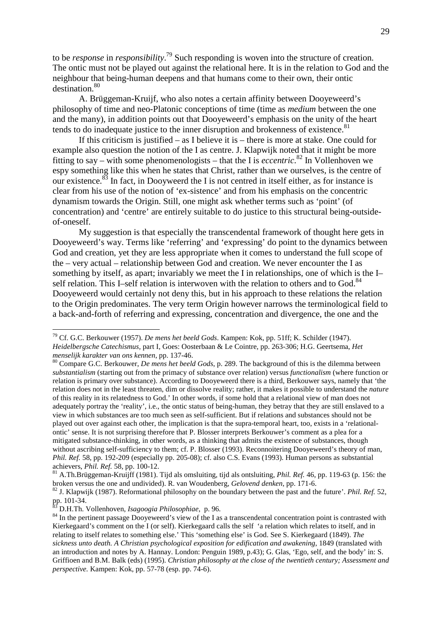to be *response* in *responsibility*. <sup>79</sup> Such responding is woven into the structure of creation. The ontic must not be played out against the relational here. It is in the relation to God and the neighbour that being-human deepens and that humans come to their own, their ontic destination.<sup>80</sup>

 A. Brüggeman-Kruijf, who also notes a certain affinity between Dooyeweerd's philosophy of time and neo-Platonic conceptions of time (time as *medium* between the one and the many), in addition points out that Dooyeweerd's emphasis on the unity of the heart tends to do inadequate justice to the inner disruption and brokenness of existence. $81$ 

If this criticism is justified – as I believe it is – there is more at stake. One could for example also question the notion of the I as centre. J. Klapwijk noted that it might be more fitting to say – with some phenomenologists – that the I is *eccentric*.<sup>82</sup> In Vollenhoven we espy something like this when he states that Christ, rather than we ourselves, is the centre of our existence.<sup>83</sup> In fact, in Dooyweerd the I is not centred in itself either, as for instance is clear from his use of the notion of 'ex-sistence' and from his emphasis on the concentric dynamism towards the Origin. Still, one might ask whether terms such as 'point' (of concentration) and 'centre' are entirely suitable to do justice to this structural being-outsideof-oneself.

 My suggestion is that especially the transcendental framework of thought here gets in Dooyeweerd's way. Terms like 'referring' and 'expressing' do point to the dynamics between God and creation, yet they are less appropriate when it comes to understand the full scope of the – very actual – relationship between God and creation. We never encounter the I as something by itself, as apart; invariably we meet the I in relationships, one of which is the I– self relation. This I–self relation is interwoven with the relation to others and to God. $84$ Dooyeweerd would certainly not deny this, but in his approach to these relations the relation to the Origin predominates. The very term Origin however narrows the terminological field to a back-and-forth of referring and expressing, concentration and divergence, the one and the

<sup>79</sup> Cf. G.C. Berkouwer (1957). *De mens het beeld Gods*. Kampen: Kok, pp. 51ff; K. Schilder (1947). *Heidelbergsche Catechismus,* part I, Goes: Oosterbaan & Le Cointre, pp. 263-306; H.G. Geertsema, *Het menselijk karakter van ons kennen*, pp. 137-46.

<sup>80</sup> Compare G.C. Berkouwer, *De mens het beeld Gods*, p. 289. The background of this is the dilemma between *substantialism* (starting out from the primacy of substance over relation) versus *functionalism* (where function or relation is primary over substance). According to Dooyeweerd there is a third, Berkouwer says, namely that 'the relation does not in the least threaten, dim or dissolve reality; rather, it makes it possible to understand the *nature* of this reality in its relatedness to God.' In other words, if some hold that a relational view of man does not adequately portray the 'reality', i.e., the ontic status of being-human, they betray that they are still enslaved to a view in which substances are too much seen as self-sufficient. But if relations and substances should not be played out over against each other, the implication is that the supra-temporal heart, too, exists in a 'relationalontic' sense. It is not surprising therefore that P. Blosser interprets Berkouwer's comment as a plea for a mitigated substance-thinking, in other words, as a thinking that admits the existence of substances, though without ascribing self-sufficiency to them; cf. P. Blosser (1993). Reconnoitering Dooyeweerd's theory of man, *Phil. Ref.* 58, pp. 192-209 (especially pp. 205-08); cf. also C.S. Evans (1993). Human persons as substantial achievers, *Phil. Ref.* 58, pp. 100-12.

<sup>81</sup> A.Th.Brüggeman-Kruijff (1981). Tijd als omsluiting, tijd als ontsluiting, *Phil. Ref.* 46, pp. 119-63 (p. 156: the broken versus the one and undivided). R. van Woudenberg, *Gelovend denken*, pp. 171-6.

<sup>82</sup> J. Klapwijk (1987). Reformational philosophy on the boundary between the past and the future'. *Phil. Ref.* 52, pp. 101-34.

<sup>83</sup> D.H.Th. Vollenhoven, *Isagoogia Philosophiae*,p. 96.

<sup>&</sup>lt;sup>84</sup> In the pertinent passage Dooyeweerd's view of the I as a transcendental concentration point is contrasted with Kierkegaard's comment on the I (or self). Kierkegaard calls the self 'a relation which relates to itself, and in relating to itself relates to something else.' This 'something else' is God. See S. Kierkegaard (1849). *The sickness unto death. A Christian psychological exposition for edification and awakening*, 1849 (translated with an introduction and notes by A. Hannay. London: Penguin 1989, p.43); G. Glas, 'Ego, self, and the body' in: S. Griffioen and B.M. Balk (eds) (1995). *Christian philosophy at the close of the twentieth century; Assessment and perspective.* Kampen: Kok, pp. 57-78 (esp. pp. 74-6).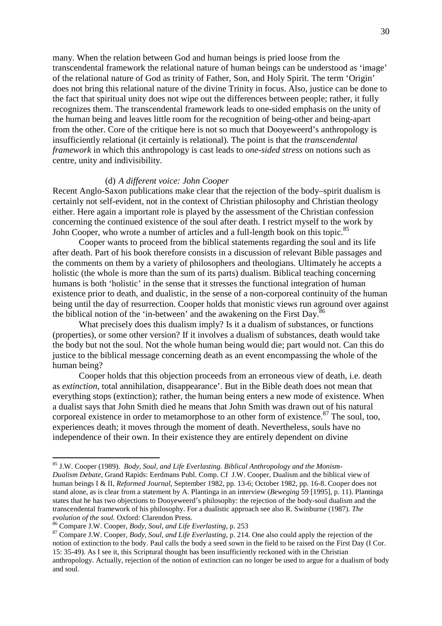many. When the relation between God and human beings is pried loose from the transcendental framework the relational nature of human beings can be understood as 'image' of the relational nature of God as trinity of Father, Son, and Holy Spirit. The term 'Origin' does not bring this relational nature of the divine Trinity in focus. Also, justice can be done to the fact that spiritual unity does not wipe out the differences between people; rather, it fully recognizes them. The transcendental framework leads to one-sided emphasis on the unity of the human being and leaves little room for the recognition of being-other and being-apart from the other. Core of the critique here is not so much that Dooyeweerd's anthropology is insufficiently relational (it certainly is relational). The point is that the *transcendental framework* in which this anthropology is cast leads to *one-sided stress* on notions such as centre, unity and indivisibility.

## (d) *A different voice: John Cooper*

Recent Anglo-Saxon publications make clear that the rejection of the body–spirit dualism is certainly not self-evident, not in the context of Christian philosophy and Christian theology either. Here again a important role is played by the assessment of the Christian confession concerning the continued existence of the soul after death. I restrict myself to the work by John Cooper, who wrote a number of articles and a full-length book on this topic.<sup>85</sup>

 Cooper wants to proceed from the biblical statements regarding the soul and its life after death. Part of his book therefore consists in a discussion of relevant Bible passages and the comments on them by a variety of philosophers and theologians. Ultimately he accepts a holistic (the whole is more than the sum of its parts) dualism. Biblical teaching concerning humans is both 'holistic' in the sense that it stresses the functional integration of human existence prior to death, and dualistic, in the sense of a non-corporeal continuity of the human being until the day of resurrection. Cooper holds that monistic views run aground over against the biblical notion of the 'in-between' and the awakening on the First Day.<sup>86</sup>

 What precisely does this dualism imply? Is it a dualism of substances, or functions (properties), or some other version? If it involves a dualism of substances, death would take the body but not the soul. Not the whole human being would die; part would not. Can this do justice to the biblical message concerning death as an event encompassing the whole of the human being?

 Cooper holds that this objection proceeds from an erroneous view of death, i.e. death as *extinction*, total annihilation, disappearance'. But in the Bible death does not mean that everything stops (extinction); rather, the human being enters a new mode of existence. When a dualist says that John Smith died he means that John Smith was drawn out of his natural corporeal existence in order to metamorphose to an other form of existence. $87$  The soul, too, experiences death; it moves through the moment of death. Nevertheless, souls have no independence of their own. In their existence they are entirely dependent on divine

<sup>85</sup> J.W. Cooper (1989). *Body, Soul, and Life Everlasting. Biblical Anthropology and the Monism-Dualism Debate*, Grand Rapids: Eerdmans Publ. Comp. Cf J.W. Cooper, Dualism and the biblical view of human beings I & II, *Reformed Journal*, September 1982, pp. 13-6; October 1982, pp. 16-8. Cooper does not stand alone, as is clear from a statement by A. Plantinga in an interview (*Beweging* 59 [1995], p. 11). Plantinga states that he has two objections to Dooyeweerd's philosophy: the rejection of the body-soul dualism and the transcendental framework of his philosophy. For a dualistic approach see also R. Swinburne (1987). *The evolution of the soul.* Oxford: Clarendon Press*.* 

<sup>86</sup> Compare J.W. Cooper, *Body, Soul, and Life Everlasting*, p. 253

<sup>87</sup> Compare J.W. Cooper, *Body, Soul, and Life Everlasting*, p. 214. One also could apply the rejection of the notion of extinction to the body. Paul calls the body a seed sown in the field to be raised on the First Day (I Cor. 15: 35-49). As I see it, this Scriptural thought has been insufficiently reckoned with in the Christian anthropology. Actually, rejection of the notion of extinction can no longer be used to argue for a dualism of body and soul.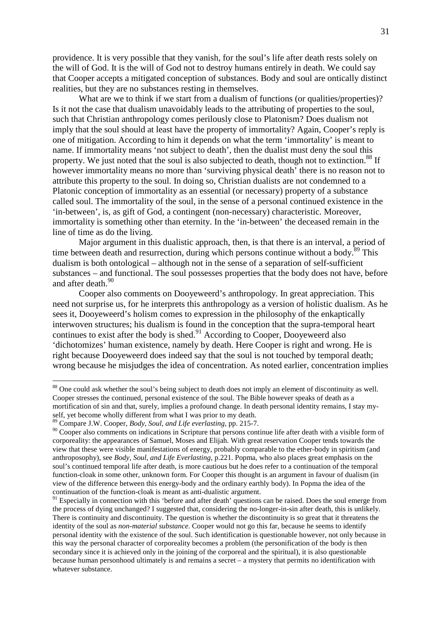providence. It is very possible that they vanish, for the soul's life after death rests solely on the will of God. It is the will of God not to destroy humans entirely in death. We could say that Cooper accepts a mitigated conception of substances. Body and soul are ontically distinct realities, but they are no substances resting in themselves.

What are we to think if we start from a dualism of functions (or qualities/properties)? Is it not the case that dualism unavoidably leads to the attributing of properties to the soul, such that Christian anthropology comes perilously close to Platonism? Does dualism not imply that the soul should at least have the property of immortality? Again, Cooper's reply is one of mitigation. According to him it depends on what the term 'immortality' is meant to name. If immortality means 'not subject to death', then the dualist must deny the soul this property. We just noted that the soul is also subjected to death, though not to extinction.<sup>88</sup> If however immortality means no more than 'surviving physical death' there is no reason not to attribute this property to the soul. In doing so, Christian dualists are not condemned to a Platonic conception of immortality as an essential (or necessary) property of a substance called soul. The immortality of the soul, in the sense of a personal continued existence in the 'in-between', is, as gift of God, a contingent (non-necessary) characteristic. Moreover, immortality is something other than eternity. In the 'in-between' the deceased remain in the line of time as do the living.

 Major argument in this dualistic approach, then, is that there is an interval, a period of time between death and resurrection, during which persons continue without a body.<sup>89</sup> This dualism is both ontological – although not in the sense of a separation of self-sufficient substances – and functional. The soul possesses properties that the body does not have, before and after death.<sup>90</sup>

 Cooper also comments on Dooyeweerd's anthropology. In great appreciation. This need not surprise us, for he interprets this anthropology as a version of holistic dualism. As he sees it, Dooyeweerd's holism comes to expression in the philosophy of the enkaptically interwoven structures; his dualism is found in the conception that the supra-temporal heart continues to exist after the body is shed. $91$  According to Cooper, Dooyeweerd also 'dichotomizes' human existence, namely by death. Here Cooper is right and wrong. He is right because Dooyeweerd does indeed say that the soul is not touched by temporal death; wrong because he misjudges the idea of concentration. As noted earlier, concentration implies

<sup>&</sup>lt;sup>88</sup> One could ask whether the soul's being subject to death does not imply an element of discontinuity as well. Cooper stresses the continued, personal existence of the soul. The Bible however speaks of death as a mortification of sin and that, surely, implies a profound change. In death personal identity remains, I stay myself, yet become wholly different from what I was prior to my death.

<sup>89</sup> Compare J.W. Cooper, *Body, Soul, and Life everlasting*, pp. 215-7.

<sup>&</sup>lt;sup>90</sup> Cooper also comments on indications in Scripture that persons continue life after death with a visible form of corporeality: the appearances of Samuel, Moses and Elijah. With great reservation Cooper tends towards the view that these were visible manifestations of energy, probably comparable to the ether-body in spiritism (and anthroposophy), see *Body, Soul, and Life Everlasting*, p.221. Popma, who also places great emphasis on the soul's continued temporal life after death, is more cautious but he does refer to a continuation of the temporal function-cloak in some other, unknown form. For Cooper this thought is an argument in favour of dualism (in view of the difference between this energy-body and the ordinary earthly body). In Popma the idea of the continuation of the function-cloak is meant as anti-dualistic argument.

<sup>&</sup>lt;sup>91</sup> Especially in connection with this 'before and after death' questions can be raised. Does the soul emerge from the process of dying unchanged? I suggested that, considering the no-longer-in-sin after death, this is unlikely. There is continuity and discontinuity. The question is whether the discontinuity is so great that it threatens the identity of the soul as *non-material substance*. Cooper would not go this far, because he seems to identify personal identity with the existence of the soul. Such identification is questionable however, not only because in this way the personal character of corporeality becomes a problem (the personification of the body is then secondary since it is achieved only in the joining of the corporeal and the spiritual), it is also questionable because human personhood ultimately is and remains a secret – a mystery that permits no identification with whatever substance.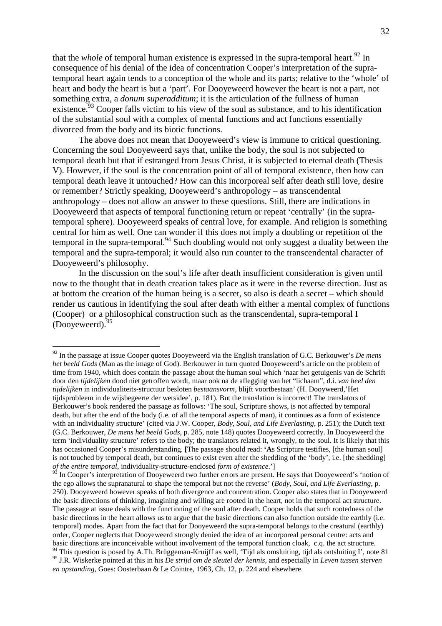that the *whole* of temporal human existence is expressed in the supra-temporal heart.<sup>92</sup> In consequence of his denial of the idea of concentration Cooper's interpretation of the supratemporal heart again tends to a conception of the whole and its parts; relative to the 'whole' of heart and body the heart is but a 'part'. For Dooyeweerd however the heart is not a part, not something extra, a *donum superadditum*; it is the articulation of the fullness of human existence.<sup>93</sup> Cooper falls victim to his view of the soul as substance, and to his identification of the substantial soul with a complex of mental functions and act functions essentially divorced from the body and its biotic functions.

 The above does not mean that Dooyeweerd's view is immune to critical questioning. Concerning the soul Dooyeweerd says that, unlike the body, the soul is not subjected to temporal death but that if estranged from Jesus Christ, it is subjected to eternal death (Thesis V). However, if the soul is the concentration point of all of temporal existence, then how can temporal death leave it untouched? How can this incorporeal self after death still love, desire or remember? Strictly speaking, Dooyeweerd's anthropology – as transcendental anthropology – does not allow an answer to these questions. Still, there are indications in Dooyeweerd that aspects of temporal functioning return or repeat 'centrally' (in the supratemporal sphere). Dooyeweerd speaks of central love, for example. And religion is something central for him as well. One can wonder if this does not imply a doubling or repetition of the temporal in the supra-temporal.<sup>94</sup> Such doubling would not only suggest a duality between the temporal and the supra-temporal; it would also run counter to the transcendental character of Dooyeweerd's philosophy.

 In the discussion on the soul's life after death insufficient consideration is given until now to the thought that in death creation takes place as it were in the reverse direction. Just as at bottom the creation of the human being is a secret, so also is death a secret – which should render us cautious in identifying the soul after death with either a mental complex of functions (Cooper) or a philosophical construction such as the transcendental, supra-temporal I (Dooyeweerd).<sup>95</sup>

<sup>92</sup> In the passage at issue Cooper quotes Dooyeweerd via the English translation of G.C. Berkouwer's *De mens het beeld Gods* (Man as the image of God). Berkouwer in turn quoted Dooyeweerd's article on the problem of time from 1940, which does contain the passage about the human soul which 'naar het getuigenis van de Schrift door den *tijdelijken* dood niet getroffen wordt, maar ook na de aflegging van het "lichaam", d.i. *van heel den tijdelijken* in individualiteits-structuur besloten *bestaansvorm*, blijft voortbestaan' (H. Dooyweerd,'Het tijdsprobleem in de wijsbegeerte der wetsidee', p. 181). But the translation is incorrect! The translators of Berkouwer's book rendered the passage as follows: 'The soul, Scripture shows, is not affected by temporal death, but after the end of the body (i.e. of all the temporal aspects of man), it continues as a form of existence with an individuality structure' (cited via J.W. Cooper, *Body, Soul, and Life Everlasting*, p. 251); the Dutch text (G.C. Berkouwer, *De mens het beeld Gods*, p. 285, note 148) quotes Dooyeweerd correctly. In Dooyeweerd the term 'individuality structure' refers to the body; the translators related it, wrongly, to the soul. It is likely that this has occasioned Cooper's misunderstanding. **[**The passage should read: **'A**s Scripture testifies, [the human soul] is not touched by temporal death, but continues to exist even after the shedding of the 'body', i.e. [the shedding] *of the entire temporal,* individuality-structure-enclosed *form of existence*.']

<sup>93</sup> In Cooper's interpretation of Dooyeweerd two further errors are present. He says that Dooyeweerd's 'notion of the ego allows the supranatural to shape the temporal but not the reverse' (*Body, Soul, and Life Everlasting*, p. 250). Dooyeweerd however speaks of both divergence and concentration. Cooper also states that in Dooyeweerd the basic directions of thinking, imagining and willing are rooted in the heart, not in the temporal act structure. The passage at issue deals with the functioning of the soul after death. Cooper holds that such rootedness of the basic directions in the heart allows us to argue that the basic directions can also function outside the earthly (i.e. temporal) modes. Apart from the fact that for Dooyeweerd the supra-temporal belongs to the creatural (earthly) order, Cooper neglects that Dooyeweerd strongly denied the idea of an incorporeal personal centre: acts and basic directions are inconceivable without involvement of the temporal function cloak, c.q. the act structure. <sup>94</sup> This question is posed by A.Th. Brüggeman-Kruijff as well, 'Tijd als omsluiting, tijd als ontsluiting I', note 81 <sup>95</sup> J.R. Wiskerke pointed at this in his *De strijd om de sleutel der kennis*, and especially in *Leven tussen sterven en opstanding*, Goes: Oosterbaan & Le Cointre, 1963, Ch. 12, p. 224 and elsewhere.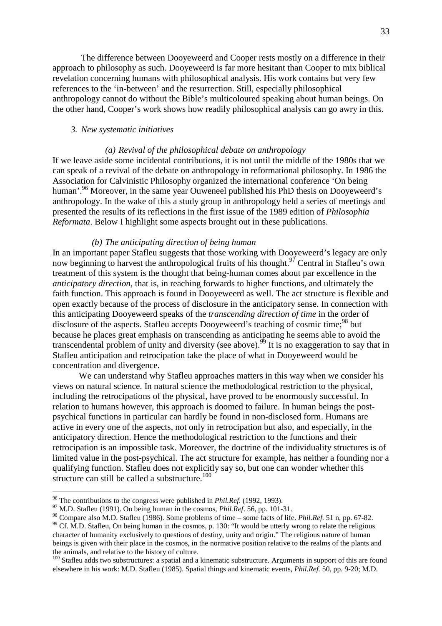The difference between Dooyeweerd and Cooper rests mostly on a difference in their approach to philosophy as such. Dooyeweerd is far more hesitant than Cooper to mix biblical revelation concerning humans with philosophical analysis. His work contains but very few references to the 'in-between' and the resurrection. Still, especially philosophical anthropology cannot do without the Bible's multicoloured speaking about human beings. On the other hand, Cooper's work shows how readily philosophical analysis can go awry in this.

# *3. New systematic initiatives*

# *(a) Revival of the philosophical debate on anthropology*

If we leave aside some incidental contributions, it is not until the middle of the 1980s that we can speak of a revival of the debate on anthropology in reformational philosophy. In 1986 the Association for Calvinistic Philosophy organized the international conference 'On being human'.<sup>96</sup> Moreover, in the same year Ouweneel published his PhD thesis on Dooyeweerd's anthropology. In the wake of this a study group in anthropology held a series of meetings and presented the results of its reflections in the first issue of the 1989 edition of *Philosophia Reformata*. Below I highlight some aspects brought out in these publications.

# *(b) The anticipating direction of being human*

In an important paper Stafleu suggests that those working with Dooyeweerd's legacy are only now beginning to harvest the anthropological fruits of his thought.<sup>97</sup> Central in Stafleu's own treatment of this system is the thought that being-human comes about par excellence in the *anticipatory direction*, that is, in reaching forwards to higher functions, and ultimately the faith function. This approach is found in Dooyeweerd as well. The act structure is flexible and open exactly because of the process of disclosure in the anticipatory sense. In connection with this anticipating Dooyeweerd speaks of the *transcending direction of time* in the order of disclosure of the aspects. Stafleu accepts Dooyeweerd's teaching of cosmic time;<sup>98</sup> but because he places great emphasis on transcending as anticipating he seems able to avoid the transcendental problem of unity and diversity (see above).<sup>99</sup> It is no exaggeration to say that in Stafleu anticipation and retrocipation take the place of what in Dooyeweerd would be concentration and divergence.

 We can understand why Stafleu approaches matters in this way when we consider his views on natural science. In natural science the methodological restriction to the physical, including the retrocipations of the physical, have proved to be enormously successful. In relation to humans however, this approach is doomed to failure. In human beings the postpsychical functions in particular can hardly be found in non-disclosed form. Humans are active in every one of the aspects, not only in retrocipation but also, and especially, in the anticipatory direction. Hence the methodological restriction to the functions and their retrocipation is an impossible task. Moreover, the doctrine of the individuality structures is of limited value in the post-psychical. The act structure for example, has neither a founding nor a qualifying function. Stafleu does not explicitly say so, but one can wonder whether this structure can still be called a substructure.<sup>100</sup>

<sup>96</sup> The contributions to the congress were published in *Phil.Ref*. (1992, 1993).

<sup>97</sup> M.D. Stafleu (1991). On being human in the cosmos, *Phil.Ref*. 56, pp. 101-31.

<sup>98</sup> Compare also M.D. Stafleu (1986). Some problems of time – some facts of life. *Phil.Ref.* 51 n, pp. 67-82.

<sup>&</sup>lt;sup>99</sup> Cf. M.D. Stafleu, On being human in the cosmos, p. 130: "It would be utterly wrong to relate the religious character of humanity exclusively to questions of destiny, unity and origin." The religious nature of human beings is given with their place in the cosmos, in the normative position relative to the realms of the plants and the animals, and relative to the history of culture.

<sup>&</sup>lt;sup>100</sup> Stafleu adds two substructures: a spatial and a kinematic substructure. Arguments in support of this are found elsewhere in his work: M.D. Stafleu (1985). Spatial things and kinematic events, *Phil.Ref.* 50, pp. 9-20; M.D.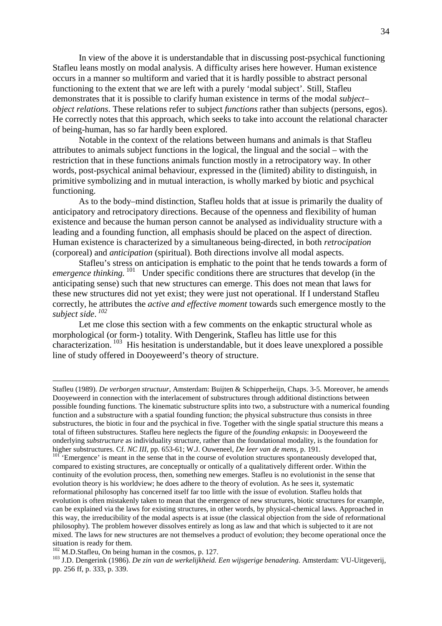In view of the above it is understandable that in discussing post-psychical functioning Stafleu leans mostly on modal analysis. A difficulty arises here however. Human existence occurs in a manner so multiform and varied that it is hardly possible to abstract personal functioning to the extent that we are left with a purely 'modal subject'. Still, Stafleu demonstrates that it is possible to clarify human existence in terms of the modal *subject– object relations*. These relations refer to subject *functions* rather than subjects (persons, egos). He correctly notes that this approach, which seeks to take into account the relational character of being-human, has so far hardly been explored.

Notable in the context of the relations between humans and animals is that Stafleu attributes to animals subject functions in the logical, the lingual and the social – with the restriction that in these functions animals function mostly in a retrocipatory way. In other words, post-psychical animal behaviour, expressed in the (limited) ability to distinguish, in primitive symbolizing and in mutual interaction, is wholly marked by biotic and psychical functioning.

As to the body–mind distinction, Stafleu holds that at issue is primarily the duality of anticipatory and retrocipatory directions. Because of the openness and flexibility of human existence and because the human person cannot be analysed as individuality structure with a leading and a founding function, all emphasis should be placed on the aspect of direction. Human existence is characterized by a simultaneous being-directed, in both *retrocipation* (corporeal) and *anticipation* (spiritual). Both directions involve all modal aspects.

Stafleu's stress on anticipation is emphatic to the point that he tends towards a form of *emergence thinking.*<sup>101</sup> Under specific conditions there are structures that develop (in the anticipating sense) such that new structures can emerge. This does not mean that laws for these new structures did not yet exist; they were just not operational. If I understand Stafleu correctly, he attributes the *active and effective moment* towards such emergence mostly to the *subject side*.  *102*

 Let me close this section with a few comments on the enkaptic structural whole as morphological (or form-) totality. With Dengerink, Stafleu has little use for this characterization.<sup>103</sup> His hesitation is understandable, but it does leave unexplored a possible line of study offered in Dooyeweerd's theory of structure.

<u>.</u>

Stafleu (1989). *De verborgen structuur*, Amsterdam: Buijten & Schipperheijn, Chaps. 3-5. Moreover, he amends Dooyeweerd in connection with the interlacement of substructures through additional distinctions between possible founding functions. The kinematic substructure splits into two, a substructure with a numerical founding function and a substructure with a spatial founding function; the physical substructure thus consists in three substructures, the biotic in four and the psychical in five. Together with the single spatial structure this means a total of fifteen substructures. Stafleu here neglects the figure of the *founding enkapsis*: in Dooyeweerd the onderlying *substructure* as individuality structure, rather than the foundational modality, is the foundation for higher substructures. Cf. *NC III*, pp. 653-61; W.J. Ouweneel, *De leer van de mens*, p. 191.

<sup>&</sup>lt;sup>101</sup> 'Emergence' is meant in the sense that in the course of evolution structures spontaneously developed that, compared to existing structures, are conceptually or ontically of a qualitatively different order. Within the continuity of the evolution process, then, something new emerges. Stafleu is no evolutionist in the sense that evolution theory is his worldview; he does adhere to the theory of evolution. As he sees it, systematic reformational philosophy has concerned itself far too little with the issue of evolution. Stafleu holds that evolution is often mistakenly taken to mean that the emergence of new structures, biotic structures for example, can be explained via the laws for existing structures, in other words, by physical-chemical laws. Approached in this way, the irreducibility of the modal aspects is at issue (the classical objection from the side of reformational philosophy). The problem however dissolves entirely as long as law and that which is subjected to it are not mixed. The laws for new structures are not themselves a product of evolution; they become operational once the situation is ready for them.

 $102$  M.D.Stafleu, On being human in the cosmos, p. 127.

<sup>103</sup> J.D. Dengerink (1986). *De zin van de werkelijkheid. Een wijsgerige benadering.* Amsterdam: VU-Uitgeverij, pp. 256 ff, p. 333, p. 339.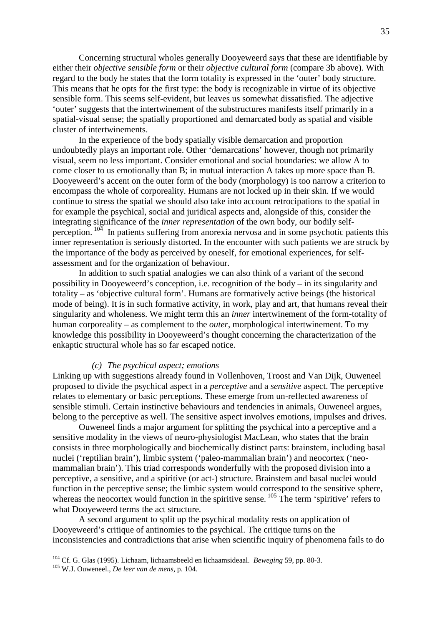Concerning structural wholes generally Dooyeweerd says that these are identifiable by either their *objective sensible form* or their *objective cultural form* (compare 3b above). With regard to the body he states that the form totality is expressed in the 'outer' body structure. This means that he opts for the first type: the body is recognizable in virtue of its objective sensible form. This seems self-evident, but leaves us somewhat dissatisfied. The adjective 'outer' suggests that the intertwinement of the substructures manifests itself primarily in a spatial-visual sense; the spatially proportioned and demarcated body as spatial and visible cluster of intertwinements.

 In the experience of the body spatially visible demarcation and proportion undoubtedly plays an important role. Other 'demarcations' however, though not primarily visual, seem no less important. Consider emotional and social boundaries: we allow A to come closer to us emotionally than B; in mutual interaction A takes up more space than B. Dooyeweerd's accent on the outer form of the body (morphology) is too narrow a criterion to encompass the whole of corporeality. Humans are not locked up in their skin. If we would continue to stress the spatial we should also take into account retrocipations to the spatial in for example the psychical, social and juridical aspects and, alongside of this, consider the integrating significance of the *inner representation* of the own body, our bodily selfperception.<sup>104</sup> In patients suffering from anorexia nervosa and in some psychotic patients this inner representation is seriously distorted. In the encounter with such patients we are struck by the importance of the body as perceived by oneself, for emotional experiences, for selfassessment and for the organization of behaviour.

 In addition to such spatial analogies we can also think of a variant of the second possibility in Dooyeweerd's conception, i.e. recognition of the body – in its singularity and totality – as 'objective cultural form'. Humans are formatively active beings (the historical mode of being). It is in such formative activity, in work, play and art, that humans reveal their singularity and wholeness. We might term this an *inner* intertwinement of the form-totality of human corporeality – as complement to the *outer*, morphological intertwinement. To my knowledge this possibility in Dooyeweerd's thought concerning the characterization of the enkaptic structural whole has so far escaped notice.

#### *(c) The psychical aspect; emotions*

Linking up with suggestions already found in Vollenhoven, Troost and Van Dijk, Ouweneel proposed to divide the psychical aspect in a *perceptive* and a *sensitive* aspect. The perceptive relates to elementary or basic perceptions. These emerge from un-reflected awareness of sensible stimuli. Certain instinctive behaviours and tendencies in animals, Ouweneel argues, belong to the perceptive as well. The sensitive aspect involves emotions, impulses and drives.

 Ouweneel finds a major argument for splitting the psychical into a perceptive and a sensitive modality in the views of neuro-physiologist MacLean, who states that the brain consists in three morphologically and biochemically distinct parts: brainstem, including basal nuclei ('reptilian brain'), limbic system ('paleo-mammalian brain') and neocortex ('neomammalian brain'). This triad corresponds wonderfully with the proposed division into a perceptive, a sensitive, and a spiritive (or act-) structure. Brainstem and basal nuclei would function in the perceptive sense; the limbic system would correspond to the sensitive sphere, whereas the neocortex would function in the spiritive sense.<sup>105</sup> The term 'spiritive' refers to what Dooyeweerd terms the act structure.

 A second argument to split up the psychical modality rests on application of Dooyeweerd's critique of antinomies to the psychical. The critique turns on the inconsistencies and contradictions that arise when scientific inquiry of phenomena fails to do

<sup>104</sup> Cf. G. Glas (1995). Lichaam, lichaamsbeeld en lichaamsideaal. *Beweging* 59, pp. 80-3.

<sup>105</sup> W.J. Ouweneel., *De leer van de mens*, p. 104.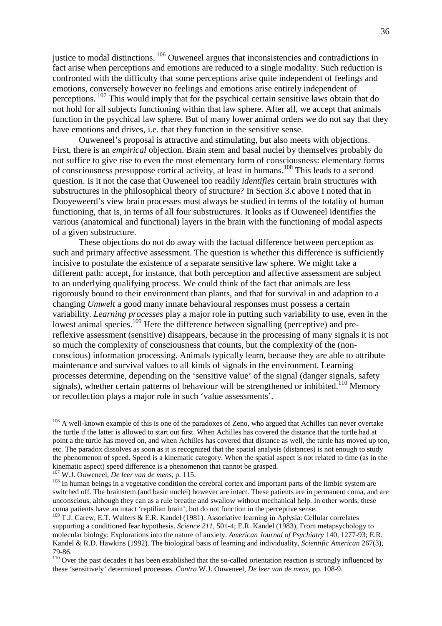justice to modal distinctions.<sup>106</sup> Ouweneel argues that inconsistencies and contradictions in fact arise when perceptions and emotions are reduced to a single modality. Such reduction is confronted with the difficulty that some perceptions arise quite independent of feelings and emotions, conversely however no feelings and emotions arise entirely independent of perceptions.<sup>107</sup> This would imply that for the psychical certain sensitive laws obtain that do not hold for all subjects functioning within that law sphere. After all, we accept that animals function in the psychical law sphere. But of many lower animal orders we do not say that they have emotions and drives, i.e. that they function in the sensitive sense.

 Ouweneel's proposal is attractive and stimulating, but also meets with objections. First, there is an *empirical* objection. Brain stem and basal nuclei by themselves probably do not suffice to give rise to even the most elementary form of consciousness: elementary forms of consciousness presuppose cortical activity, at least in humans.<sup>108</sup> This leads to a second question. Is it not the case that Ouweneel too readily *identifies* certain brain structures with substructures in the philosophical theory of structure? In Section 3.c above I noted that in Dooyeweerd's view brain processes must always be studied in terms of the totality of human functioning, that is, in terms of all four substructures. It looks as if Ouweneel identifies the various (anatomical and functional) layers in the brain with the functioning of modal aspects of a given substructure.

 These objections do not do away with the factual difference between perception as such and primary affective assessment. The question is whether this difference is sufficiently incisive to postulate the existence of a separate sensitive law sphere. We might take a different path: accept, for instance, that both perception and affective assessment are subject to an underlying qualifying process. We could think of the fact that animals are less rigorously bound to their environment than plants, and that for survival in and adaption to a changing *Umwelt* a good many innate behavioural responses must possess a certain variability. *Learning processes* play a major role in putting such variability to use, even in the lowest animal species.<sup>109</sup> Here the difference between signalling (perceptive) and prereflexive assessment (sensitive) disappears, because in the processing of many signals it is not so much the complexity of consciousness that counts, but the complexity of the (nonconscious) information processing. Animals typically learn, because they are able to attribute maintenance and survival values to all kinds of signals in the environment. Learning processes determine, depending on the 'sensitive value' of the signal (danger signals, safety signals), whether certain patterns of behaviour will be strengthened or inhibited.<sup>110</sup> Memory or recollection plays a major role in such 'value assessments'.

<sup>&</sup>lt;sup>106</sup> A well-known example of this is one of the paradoxes of Zeno, who argued that Achilles can never overtake the turtle if the latter is allowed to start out first. When Achilles has covered the distance that the turtle had at point a the turtle has moved on, and when Achilles has covered that distance as well, the turtle has moved up too, etc. The paradox dissolves as soon as it is recognized that the spatial analysis (distances) is not enough to study the phenomenon of speed. Speed is a kinematic category. When the spatial aspect is not related to time (as in the kinematic aspect) speed difference is a phenomenon that cannot be grasped.

<sup>107</sup> W.J. Ouweneel, *De leer van de mens,* p. 115.

<sup>&</sup>lt;sup>108</sup> In human beings in a vegetative condition the cerebral cortex and important parts of the limbic system are switched off. The brainstem (and basic nuclei) however are intact. These patients are in permanent coma, and are unconscious, although they can as a rule breathe and swallow without mechanical help. In other words, these coma patients have an intact 'reptilian brain', but do not function in the perceptive sense.

<sup>&</sup>lt;sup>109</sup> T.J. Carew, E.T. Walters & E.R. Kandel (1981). Associative learning in Aplysia: Cellular correlates supporting a conditioned fear hypothesis. *Science 211,* 501-4; E.R. Kandel (1983), From metapsychology to molecular biology: Explorations into the nature of anxiety. *American Journal of Psychiatry* 140, 1277-93; E.R. Kandel & R.D. Hawkins (1992). The biological basis of learning and individuality, *Scientific American* 267(3), 79-86.

<sup>&</sup>lt;sup>110</sup> Over the past decades it has been established that the so-called orientation reaction is strongly influenced by these 'sensitively' determined processes. *Contra* W.J. Ouweneel, *De leer van de mens*, pp. 108-9.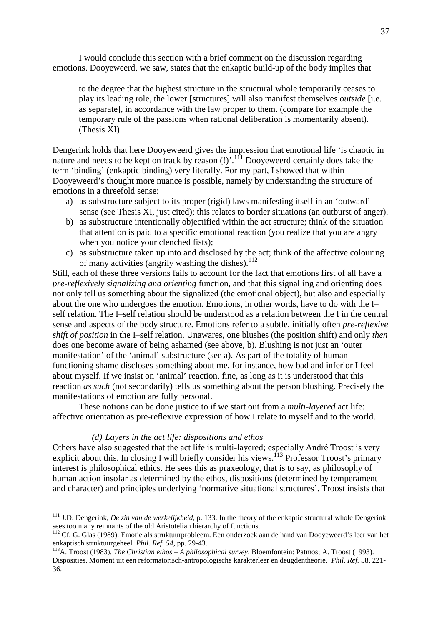I would conclude this section with a brief comment on the discussion regarding emotions. Dooyeweerd, we saw, states that the enkaptic build-up of the body implies that

to the degree that the highest structure in the structural whole temporarily ceases to play its leading role, the lower [structures] will also manifest themselves *outside* [i.e. as separate], in accordance with the law proper to them. (compare for example the temporary rule of the passions when rational deliberation is momentarily absent). (Thesis XI)

Dengerink holds that here Dooyeweerd gives the impression that emotional life 'is chaotic in nature and needs to be kept on track by reason  $(!)$ <sup>111</sup> Dooyeweerd certainly does take the term 'binding' (enkaptic binding) very literally. For my part, I showed that within Dooyeweerd's thought more nuance is possible, namely by understanding the structure of emotions in a threefold sense:

- a) as substructure subject to its proper (rigid) laws manifesting itself in an 'outward' sense (see Thesis XI, just cited); this relates to border situations (an outburst of anger).
- b) as substructure intentionally objectified within the act structure; think of the situation that attention is paid to a specific emotional reaction (you realize that you are angry when you notice your clenched fists);
- c) as substructure taken up into and disclosed by the act; think of the affective colouring of many activities (angrily washing the dishes).  $^{112}$

Still, each of these three versions fails to account for the fact that emotions first of all have a *pre-reflexively signalizing and orienting* function, and that this signalling and orienting does not only tell us something about the signalized (the emotional object), but also and especially about the one who undergoes the emotion. Emotions, in other words, have to do with the I– self relation. The I–self relation should be understood as a relation between the I in the central sense and aspects of the body structure. Emotions refer to a subtle, initially often *pre-reflexive shift of position* in the I–self relation. Unawares, one blushes (the position shift) and only *then* does one become aware of being ashamed (see above, b). Blushing is not just an 'outer manifestation' of the 'animal' substructure (see a). As part of the totality of human functioning shame discloses something about me, for instance, how bad and inferior I feel about myself. If we insist on 'animal' reaction, fine, as long as it is understood that this reaction *as such* (not secondarily) tells us something about the person blushing. Precisely the manifestations of emotion are fully personal.

 These notions can be done justice to if we start out from a *multi-layered* act life: affective orientation as pre-reflexive expression of how I relate to myself and to the world.

#### *(d) Layers in the act life: dispositions and ethos*

 $\overline{a}$ 

Others have also suggested that the act life is multi-layered; especially André Troost is very explicit about this. In closing I will briefly consider his views.<sup>113</sup> Professor Troost's primary interest is philosophical ethics. He sees this as praxeology, that is to say, as philosophy of human action insofar as determined by the ethos, dispositions (determined by temperament and character) and principles underlying 'normative situational structures'. Troost insists that

<sup>&</sup>lt;sup>111</sup> J.D. Dengerink, *De zin van de werkelijkheid*, p. 133. In the theory of the enkaptic structural whole Dengerink sees too many remnants of the old Aristotelian hierarchy of functions.

<sup>&</sup>lt;sup>112</sup> Cf. G. Glas (1989). Emotie als struktuurprobleem. Een onderzoek aan de hand van Dooyeweerd's leer van het enkaptisch struktuurgeheel. *Phil. Ref. 54*, pp. 29-43.

<sup>113</sup>A. Troost (1983). *The Christian ethos – A philosophical survey*. Bloemfontein: Patmos; A. Troost (1993). Disposities. Moment uit een reformatorisch-antropologische karakterleer en deugdentheorie. *Phil. Ref.* 58, 221- 36.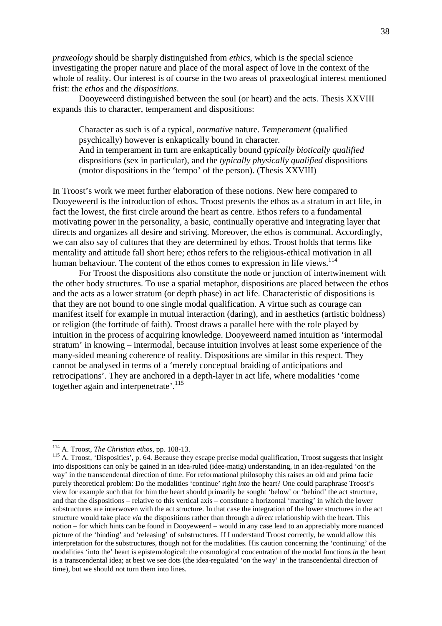*praxeology* should be sharply distinguished from *ethics*, which is the special science investigating the proper nature and place of the moral aspect of love in the context of the whole of reality. Our interest is of course in the two areas of praxeological interest mentioned frist: the *ethos* and the *dispositions*.

 Dooyeweerd distinguished between the soul (or heart) and the acts. Thesis XXVIII expands this to character, temperament and dispositions:

Character as such is of a typical, *normative* nature. *Temperament* (qualified psychically) however is enkaptically bound in character. And in temperament in turn are enkaptically bound *typically biotically qualified* dispositions (sex in particular), and the *typically physically qualified* dispositions (motor dispositions in the 'tempo' of the person). (Thesis XXVIII)

In Troost's work we meet further elaboration of these notions. New here compared to Dooyeweerd is the introduction of ethos. Troost presents the ethos as a stratum in act life, in fact the lowest, the first circle around the heart as centre. Ethos refers to a fundamental motivating power in the personality, a basic, continually operative and integrating layer that directs and organizes all desire and striving. Moreover, the ethos is communal. Accordingly, we can also say of cultures that they are determined by ethos. Troost holds that terms like mentality and attitude fall short here; ethos refers to the religious-ethical motivation in all human behaviour. The content of the ethos comes to expression in life views.<sup>114</sup>

 For Troost the dispositions also constitute the node or junction of intertwinement with the other body structures. To use a spatial metaphor, dispositions are placed between the ethos and the acts as a lower stratum (or depth phase) in act life. Characteristic of dispositions is that they are not bound to one single modal qualification. A virtue such as courage can manifest itself for example in mutual interaction (daring), and in aesthetics (artistic boldness) or religion (the fortitude of faith). Troost draws a parallel here with the role played by intuition in the process of acquiring knowledge. Dooyeweerd named intuition as 'intermodal stratum' in knowing – intermodal, because intuition involves at least some experience of the many-sided meaning coherence of reality. Dispositions are similar in this respect. They cannot be analysed in terms of a 'merely conceptual braiding of anticipations and retrocipations'. They are anchored in a depth-layer in act life, where modalities 'come together again and interpenetrate'.<sup>115</sup>

<sup>114</sup> A. Troost, *The Christian ethos*, pp. 108-13.

<sup>&</sup>lt;sup>115</sup> A. Troost, 'Disposities', p. 64. Because they escape precise modal qualification, Troost suggests that insight into dispositions can only be gained in an idea-ruled (idee-matig) understanding, in an idea-regulated 'on the way' in the transcendental direction of time. For reformational philosophy this raises an old and prima facie purely theoretical problem: Do the modalities 'continue' right *into* the heart? One could paraphrase Troost's view for example such that for him the heart should primarily be sought 'below' or 'behind' the act structure, and that the dispositions – relative to this vertical axis – constitute a horizontal 'matting' in which the lower substructures are interwoven with the act structure. In that case the integration of the lower structures in the act structure would take place *via* the dispositions rather than through a *direct* relationship with the heart. This notion – for which hints can be found in Dooyeweerd – would in any case lead to an appreciably more nuanced picture of the 'binding' and 'releasing' of substructures. If I understand Troost correctly, he would allow this interpretation for the substructures, though not for the modalities. His caution concerning the 'continuing' of the modalities 'into the' heart is epistemological: the cosmological concentration of the modal functions *in* the heart is a transcendental idea; at best we see dots (the idea-regulated 'on the way' in the transcendental direction of time), but we should not turn them into lines.